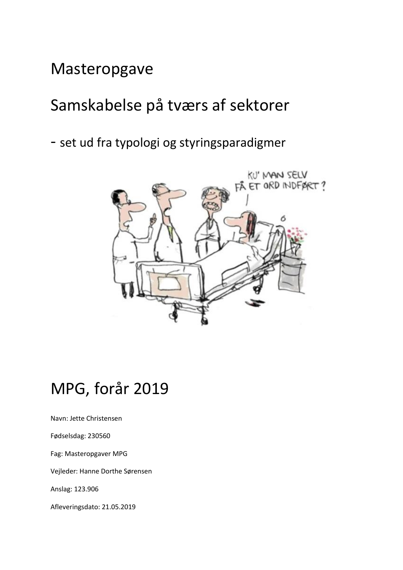# Masteropgave

# Samskabelse på tværs af sektorer

- set ud fra typologi og styringsparadigmer



# MPG, forår 2019

Navn: Jette Christensen

Fødselsdag: 230560

Fag: Masteropgaver MPG

Vejleder: Hanne Dorthe Sørensen

Anslag: 123.906

Afleveringsdato: 21.05.2019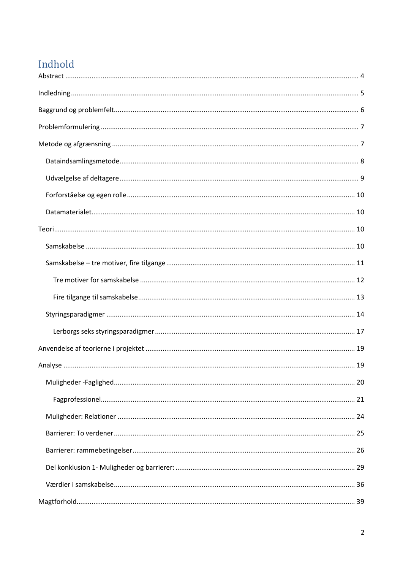# Indhold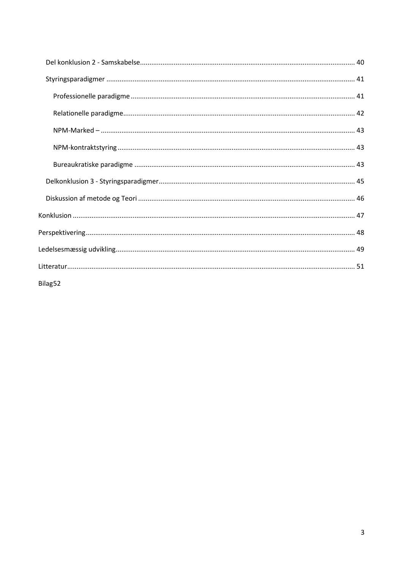| Bilag52 |
|---------|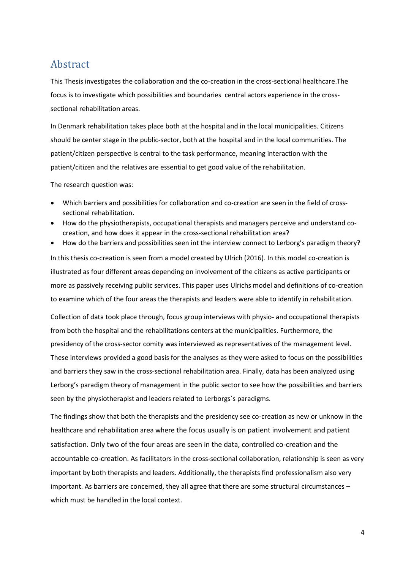# <span id="page-3-0"></span>Abstract

This Thesis investigates the collaboration and the co-creation in the cross-sectional healthcare.The focus is to investigate which possibilities and boundaries central actors experience in the crosssectional rehabilitation areas.

In Denmark rehabilitation takes place both at the hospital and in the local municipalities. Citizens should be center stage in the public-sector, both at the hospital and in the local communities. The patient/citizen perspective is central to the task performance, meaning interaction with the patient/citizen and the relatives are essential to get good value of the rehabilitation.

The research question was:

- Which barriers and possibilities for collaboration and co-creation are seen in the field of crosssectional rehabilitation.
- How do the physiotherapists, occupational therapists and managers perceive and understand cocreation, and how does it appear in the cross-sectional rehabilitation area?
- How do the barriers and possibilities seen int the interview connect to Lerborg's paradigm theory? In this thesis co-creation is seen from a model created by Ulrich (2016). In this model co-creation is illustrated as four different areas depending on involvement of the citizens as active participants or more as passively receiving public services. This paper uses Ulrichs model and definitions of co-creation to examine which of the four areas the therapists and leaders were able to identify in rehabilitation.

Collection of data took place through, focus group interviews with physio- and occupational therapists from both the hospital and the rehabilitations centers at the municipalities. Furthermore, the presidency of the cross-sector comity was interviewed as representatives of the management level. These interviews provided a good basis for the analyses as they were asked to focus on the possibilities and barriers they saw in the cross-sectional rehabilitation area. Finally, data has been analyzed using Lerborg's paradigm theory of management in the public sector to see how the possibilities and barriers seen by the physiotherapist and leaders related to Lerborgs´s paradigms.

The findings show that both the therapists and the presidency see co-creation as new or unknow in the healthcare and rehabilitation area where the focus usually is on patient involvement and patient satisfaction. Only two of the four areas are seen in the data, controlled co-creation and the accountable co-creation. As facilitators in the cross-sectional collaboration, relationship is seen as very important by both therapists and leaders. Additionally, the therapists find professionalism also very important. As barriers are concerned, they all agree that there are some structural circumstances – which must be handled in the local context.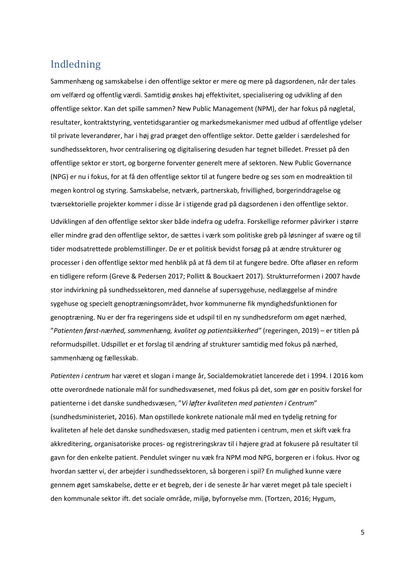# <span id="page-4-0"></span>Indledning

Sammenhæng og samskabelse i den offentlige sektor er mere og mere på dagsordenen, når der tales om velfærd og offentlig værdi. Samtidig ønskes høj effektivitet, specialisering og udvikling af den offentlige sektor. Kan det spille sammen? New Public Management (NPM), der har fokus på nøgletal, resultater, kontraktstyring, ventetidsgarantier og markedsmekanismer med udbud af offentlige ydelser til private leverandører, har i høj grad præget den offentlige sektor. Dette gælder i særdeleshed for sundhedssektoren, hvor centralisering og digitalisering desuden har tegnet billedet. Presset på den offentlige sektor er stort, og borgerne forventer generelt mere af sektoren. New Public Governance (NPG) er nu i fokus, for at få den offentlige sektor til at fungere bedre og ses som en modreaktion til megen kontrol og styring. Samskabelse, netværk, partnerskab, frivillighed, borgerinddragelse og tværsektorielle projekter kommer i disse år i stigende grad på dagsordenen i den offentlige sektor.

Udviklingen af den offentlige sektor sker både indefra og udefra. Forskellige reformer påvirker i større eller mindre grad den offentlige sektor, de sættes i værk som politiske greb på løsninger af svære og til tider modsatrettede problemstillinger. De er et politisk bevidst forsøg på at ændre strukturer og processer i den offentlige sektor med henblik på at få dem til at fungere bedre. Ofte afløser en reform en tidligere reform (Greve & Pedersen 2017; Pollitt & Bouckaert 2017). Strukturreformen i 2007 havde stor indvirkning på sundhedssektoren, med dannelse af supersygehuse, nedlæggelse af mindre sygehuse og specielt genoptræningsområdet, hvor kommunerne fik myndighedsfunktionen for genoptræning. Nu er der fra regeringens side et udspil til en ny sundhedsreform om øget nærhed, "*Patienten først-nærhed, sammenhæng, kvalitet og patientsikkerhed"* (regeringen, 2019) – er titlen på reformudspillet. Udspillet er et forslag til ændring af strukturer samtidig med fokus på nærhed, sammenhæng og fællesskab.

*Patienten i centrum* har været et slogan i mange år, Socialdemokratiet lancerede det i 1994. I 2016 kom otte overordnede nationale mål for sundhedsvæsenet, med fokus på det, som gør en positiv forskel for patienterne i det danske sundhedsvæsen, "*Vi løfter kvaliteten med patienten i Centrum*" (sundhedsministeriet, 2016). Man opstillede konkrete nationale mål med en tydelig retning for kvaliteten af hele det danske sundhedsvæsen, stadig med patienten i centrum, men et skift væk fra akkreditering, organisatoriske proces- og registreringskrav til i højere grad at fokusere på resultater til gavn for den enkelte patient. Pendulet svinger nu væk fra NPM mod NPG, borgeren er i fokus. Hvor og hvordan sætter vi, der arbejder i sundhedssektoren, så borgeren i spil? En mulighed kunne være gennem øget samskabelse, dette er et begreb, der i de seneste år har været meget på tale specielt i den kommunale sektor ift. det sociale område, miljø, byfornyelse mm. (Tortzen, 2016; Hygum,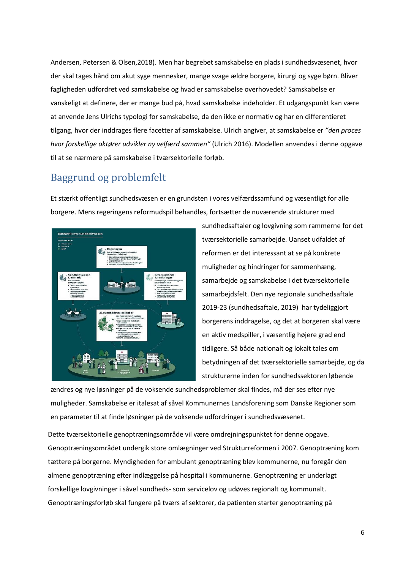Andersen, Petersen & Olsen,2018). Men har begrebet samskabelse en plads i sundhedsvæsenet, hvor der skal tages hånd om akut syge mennesker, mange svage ældre borgere, kirurgi og syge børn. Bliver fagligheden udfordret ved samskabelse og hvad er samskabelse overhovedet? Samskabelse er vanskeligt at definere, der er mange bud på, hvad samskabelse indeholder. Et udgangspunkt kan være at anvende Jens Ulrichs typologi for samskabelse, da den ikke er normativ og har en differentieret tilgang, hvor der inddrages flere facetter af samskabelse. Ulrich angiver, at samskabelse er *"den proces hvor forskellige aktører udvikler ny velfærd sammen"* (Ulrich 2016). Modellen anvendes i denne opgave til at se nærmere på samskabelse i tværsektorielle forløb.

# <span id="page-5-0"></span>Baggrund og problemfelt

Et stærkt offentligt sundhedsvæsen er en grundsten i vores velfærdssamfund og væsentligt for alle borgere. Mens regeringens reformudspil behandles, fortsætter de nuværende strukturer med



sundhedsaftaler og lovgivning som rammerne for det tværsektorielle samarbejde. Uanset udfaldet af reformen er det interessant at se på konkrete muligheder og hindringer for sammenhæng, samarbejde og samskabelse i det tværsektorielle samarbejdsfelt. Den nye regionale sundhedsaftale 2019-23 (sundhedsaftale, 2019) [h](http://(www.regionh.dk/Sundhedsaftale))ar tydeliggjort borgerens inddragelse, og det at borgeren skal være en aktiv medspiller, i væsentlig højere grad end tidligere. Så både nationalt og lokalt tales om betydningen af det tværsektorielle samarbejde, og da strukturerne inden for sundhedssektoren løbende

ændres og nye løsninger på de voksende sundhedsproblemer skal findes, må der ses efter nye muligheder. Samskabelse er italesat af såvel Kommunernes Landsforening som Danske Regioner som en parameter til at finde løsninger på de voksende udfordringer i sundhedsvæsenet.

Dette tværsektorielle genoptræningsområde vil være omdrejningspunktet for denne opgave. Genoptræningsområdet undergik store omlægninger ved Strukturreformen i 2007. Genoptræning kom tættere på borgerne. Myndigheden for ambulant genoptræning blev kommunerne, nu foregår den almene genoptræning efter indlæggelse på hospital i kommunerne. Genoptræning er underlagt forskellige lovgivninger i såvel sundheds- som servicelov og udøves regionalt og kommunalt. Genoptræningsforløb skal fungere på tværs af sektorer, da patienten starter genoptræning på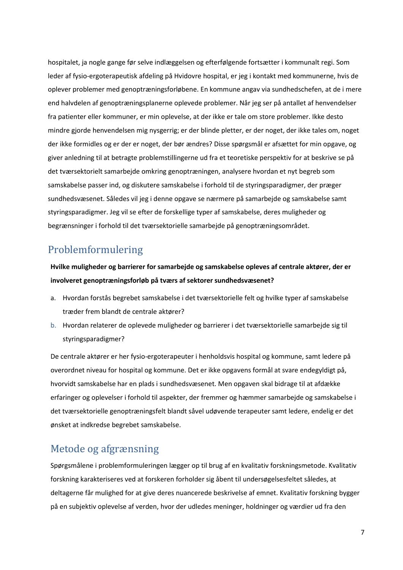hospitalet, ja nogle gange før selve indlæggelsen og efterfølgende fortsætter i kommunalt regi. Som leder af fysio-ergoterapeutisk afdeling på Hvidovre hospital, er jeg i kontakt med kommunerne, hvis de oplever problemer med genoptræningsforløbene. En kommune angav via sundhedschefen, at de i mere end halvdelen af genoptræningsplanerne oplevede problemer. Når jeg ser på antallet af henvendelser fra patienter eller kommuner, er min oplevelse, at der ikke er tale om store problemer. Ikke desto mindre gjorde henvendelsen mig nysgerrig; er der blinde pletter, er der noget, der ikke tales om, noget der ikke formidles og er der er noget, der bør ændres? Disse spørgsmål er afsættet for min opgave, og giver anledning til at betragte problemstillingerne ud fra et teoretiske perspektiv for at beskrive se på det tværsektorielt samarbejde omkring genoptræningen, analysere hvordan et nyt begreb som samskabelse passer ind, og diskutere samskabelse i forhold til de styringsparadigmer, der præger sundhedsvæsenet. Således vil jeg i denne opgave se nærmere på samarbejde og samskabelse samt styringsparadigmer. Jeg vil se efter de forskellige typer af samskabelse, deres muligheder og begrænsninger i forhold til det tværsektorielle samarbejde på genoptræningsområdet.

# <span id="page-6-0"></span>Problemformulering

**Hvilke muligheder og barrierer for samarbejde og samskabelse opleves af centrale aktører, der er involveret genoptræningsforløb på tværs af sektorer sundhedsvæsenet?**

- a. Hvordan forstås begrebet samskabelse i det tværsektorielle felt og hvilke typer af samskabelse træder frem blandt de centrale aktører?
- b. Hvordan relaterer de oplevede muligheder og barrierer i det tværsektorielle samarbejde sig til styringsparadigmer?

De centrale aktører er her fysio-ergoterapeuter i henholdsvis hospital og kommune, samt ledere på overordnet niveau for hospital og kommune. Det er ikke opgavens formål at svare endegyldigt på, hvorvidt samskabelse har en plads i sundhedsvæsenet. Men opgaven skal bidrage til at afdække erfaringer og oplevelser i forhold til aspekter, der fremmer og hæmmer samarbejde og samskabelse i det tværsektorielle genoptræningsfelt blandt såvel udøvende terapeuter samt ledere, endelig er det ønsket at indkredse begrebet samskabelse.

# <span id="page-6-1"></span>Metode og afgrænsning

Spørgsmålene i problemformuleringen lægger op til brug af en kvalitativ forskningsmetode. Kvalitativ forskning karakteriseres ved at forskeren forholder sig åbent til undersøgelsesfeltet således, at deltagerne får mulighed for at give deres nuancerede beskrivelse af emnet. Kvalitativ forskning bygger på en subjektiv oplevelse af verden, hvor der udledes meninger, holdninger og værdier ud fra den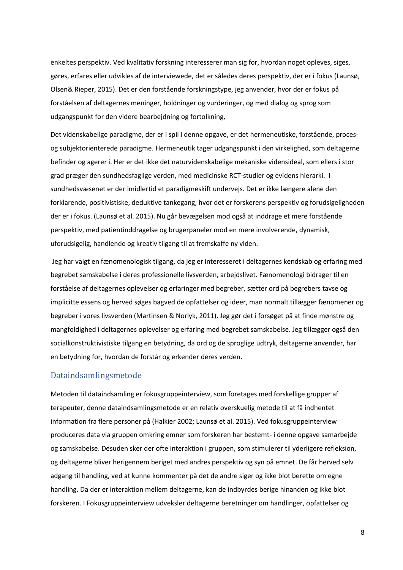enkeltes perspektiv. Ved kvalitativ forskning interesserer man sig for, hvordan noget opleves, siges, gøres, erfares eller udvikles af de interviewede, det er således deres perspektiv, der er i fokus (Launsø, Olsen& Rieper, 2015). Det er den forstående forskningstype, jeg anvender, hvor der er fokus på forståelsen af deltagernes meninger, holdninger og vurderinger, og med dialog og sprog som udgangspunkt for den videre bearbejdning og fortolkning,

Det videnskabelige paradigme, der er i spil i denne opgave, er det hermeneutiske, forstående, procesog subjektorienterede paradigme. Hermeneutik tager udgangspunkt i den virkelighed, som deltagerne befinder og agerer i. Her er det ikke det naturvidenskabelige mekaniske vidensideal, som ellers i stor grad præger den sundhedsfaglige verden, med medicinske RCT-studier og evidens hierarki. I sundhedsvæsenet er der imidlertid et paradigmeskift undervejs. Det er ikke længere alene den forklarende, positivistiske, deduktive tankegang, hvor det er forskerens perspektiv og forudsigeligheden der er i fokus. (Launsø et al. 2015). Nu går bevægelsen mod også at inddrage et mere forstående perspektiv, med patientinddragelse og brugerpaneler mod en mere involverende, dynamisk, uforudsigelig, handlende og kreativ tilgang til at fremskaffe ny viden.

Jeg har valgt en fænomenologisk tilgang, da jeg er interesseret i deltagernes kendskab og erfaring med begrebet samskabelse i deres professionelle livsverden, arbejdslivet. Fænomenologi bidrager til en forståelse af deltagernes oplevelser og erfaringer med begreber, sætter ord på begrebers tavse og implicitte essens og herved søges bagved de opfattelser og ideer, man normalt tillægger fænomener og begreber i vores livsverden (Martinsen & Norlyk, 2011). Jeg gør det i forsøget på at finde mønstre og mangfoldighed i deltagernes oplevelser og erfaring med begrebet samskabelse. Jeg tillægger også den socialkonstruktivistiske tilgang en betydning, da ord og de sproglige udtryk, deltagerne anvender, har en betydning for, hvordan de forstår og erkender deres verden.

#### <span id="page-7-0"></span>Dataindsamlingsmetode

Metoden til dataindsamling er fokusgruppeinterview, som foretages med forskellige grupper af terapeuter, denne dataindsamlingsmetode er en relativ overskuelig metode til at få indhentet information fra flere personer på (Halkier 2002; Launsø et al. 2015). Ved fokusgruppeinterview produceres data via gruppen omkring emner som forskeren har bestemt- i denne opgave samarbejde og samskabelse. Desuden sker der ofte interaktion i gruppen, som stimulerer til yderligere refleksion, og deltagerne bliver herigennem beriget med andres perspektiv og syn på emnet. De får herved selv adgang til handling, ved at kunne kommenter på det de andre siger og ikke blot berette om egne handling. Da der er interaktion mellem deltagerne, kan de indbyrdes berige hinanden og ikke blot forskeren. I Fokusgruppeinterview udveksler deltagerne beretninger om handlinger, opfattelser og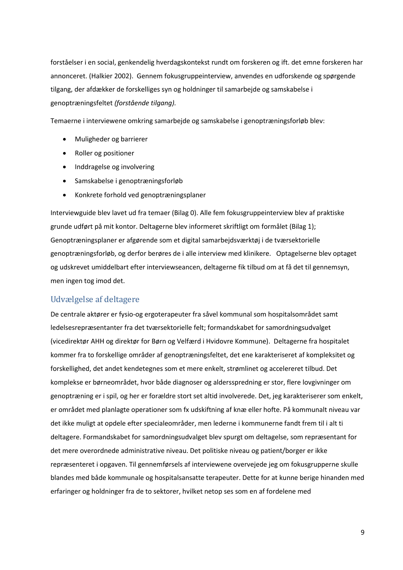forståelser i en social, genkendelig hverdagskontekst rundt om forskeren og ift. det emne forskeren har annonceret. (Halkier 2002). Gennem fokusgruppeinterview, anvendes en udforskende og spørgende tilgang, der afdækker de forskelliges syn og holdninger til samarbejde og samskabelse i genoptræningsfeltet *(forstående tilgang).*

Temaerne i interviewene omkring samarbejde og samskabelse i genoptræningsforløb blev:

- Muligheder og barrierer
- Roller og positioner
- Inddragelse og involvering
- Samskabelse i genoptræningsforløb
- Konkrete forhold ved genoptræningsplaner

Interviewguide blev lavet ud fra temaer (Bilag 0). Alle fem fokusgruppeinterview blev af praktiske grunde udført på mit kontor. Deltagerne blev informeret skriftligt om formålet (Bilag 1); Genoptræningsplaner er afgørende som et digital samarbejdsværktøj i de tværsektorielle genoptræningsforløb, og derfor berøres de i alle interview med klinikere. Optagelserne blev optaget og udskrevet umiddelbart efter interviewseancen, deltagerne fik tilbud om at få det til gennemsyn, men ingen tog imod det.

#### <span id="page-8-0"></span>Udvælgelse af deltagere

De centrale aktører er fysio-og ergoterapeuter fra såvel kommunal som hospitalsområdet samt ledelsesrepræsentanter fra det tværsektorielle felt; formandskabet for samordningsudvalget (vicedirektør AHH og direktør for Børn og Velfærd i Hvidovre Kommune). Deltagerne fra hospitalet kommer fra to forskellige områder af genoptræningsfeltet, det ene karakteriseret af kompleksitet og forskellighed, det andet kendetegnes som et mere enkelt, strømlinet og accelereret tilbud. Det komplekse er børneområdet, hvor både diagnoser og aldersspredning er stor, flere lovgivninger om genoptræning er i spil, og her er forældre stort set altid involverede. Det, jeg karakteriserer som enkelt, er området med planlagte operationer som fx udskiftning af knæ eller hofte. På kommunalt niveau var det ikke muligt at opdele efter specialeområder, men lederne i kommunerne fandt frem til i alt ti deltagere. Formandskabet for samordningsudvalget blev spurgt om deltagelse, som repræsentant for det mere overordnede administrative niveau. Det politiske niveau og patient/borger er ikke repræsenteret i opgaven. Til gennemførsels af interviewene overvejede jeg om fokusgrupperne skulle blandes med både kommunale og hospitalsansatte terapeuter. Dette for at kunne berige hinanden med erfaringer og holdninger fra de to sektorer, hvilket netop ses som en af fordelene med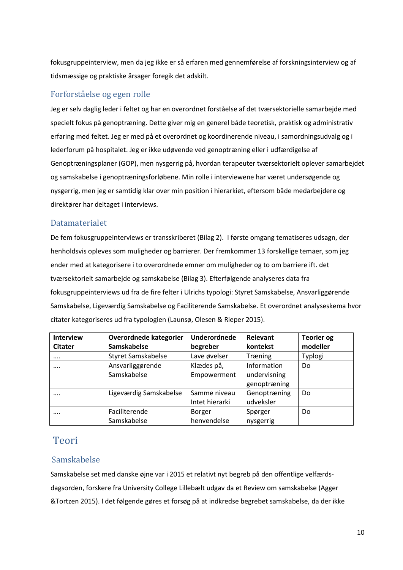fokusgruppeinterview, men da jeg ikke er så erfaren med gennemførelse af forskningsinterview og af tidsmæssige og praktiske årsager foregik det adskilt.

### <span id="page-9-0"></span>Forforståelse og egen rolle

Jeg er selv daglig leder i feltet og har en overordnet forståelse af det tværsektorielle samarbejde med specielt fokus på genoptræning. Dette giver mig en generel både teoretisk, praktisk og administrativ erfaring med feltet. Jeg er med på et overordnet og koordinerende niveau, i samordningsudvalg og i lederforum på hospitalet. Jeg er ikke udøvende ved genoptræning eller i udfærdigelse af Genoptræningsplaner (GOP), men nysgerrig på, hvordan terapeuter tværsektorielt oplever samarbejdet og samskabelse i genoptræningsforløbene. Min rolle i interviewene har været undersøgende og nysgerrig, men jeg er samtidig klar over min position i hierarkiet, eftersom både medarbejdere og direktører har deltaget i interviews.

### <span id="page-9-1"></span>Datamaterialet

De fem fokusgruppeinterviews er transskriberet (Bilag 2). I første omgang tematiseres udsagn, der henholdsvis opleves som muligheder og barrierer. Der fremkommer 13 forskellige temaer, som jeg ender med at kategorisere i to overordnede emner om muligheder og to om barriere ift. det tværsektorielt samarbejde og samskabelse (Bilag 3). Efterfølgende analyseres data fra fokusgruppeinterviews ud fra de fire felter i Ulrichs typologi: Styret Samskabelse, Ansvarliggørende Samskabelse, Ligeværdig Samskabelse og Faciliterende Samskabelse. Et overordnet analyseskema hvor citater kategoriseres ud fra typologien (Launsø, Olesen & Rieper 2015).

| <b>Interview</b><br><b>Citater</b> | Overordnede kategorier<br>Samskabelse | <b>Underordnede</b><br>begreber | Relevant<br>kontekst                        | <b>Teorier og</b><br>modeller |
|------------------------------------|---------------------------------------|---------------------------------|---------------------------------------------|-------------------------------|
| $\cdots$                           | Styret Samskabelse                    | Lave øvelser                    | Træning                                     | Typlogi                       |
|                                    | Ansvarliggørende<br>Samskabelse       | Klædes på,<br>Empowerment       | Information<br>undervisning<br>genoptræning | Do                            |
| $\cdots$                           | Ligeværdig Samskabelse                | Samme niveau<br>Intet hierarki  | Genoptræning<br>udveksler                   | Do                            |
| $\cdots$                           | Faciliterende<br>Samskabelse          | <b>Borger</b><br>henvendelse    | Spørger<br>nysgerrig                        | Do                            |

# <span id="page-9-2"></span>Teori

#### <span id="page-9-3"></span>Samskabelse

Samskabelse set med danske øjne var i 2015 et relativt nyt begreb på den offentlige velfærdsdagsorden, forskere fra University College Lillebælt udgav da et Review om samskabelse (Agger &Tortzen 2015). I det følgende gøres et forsøg på at indkredse begrebet samskabelse, da der ikke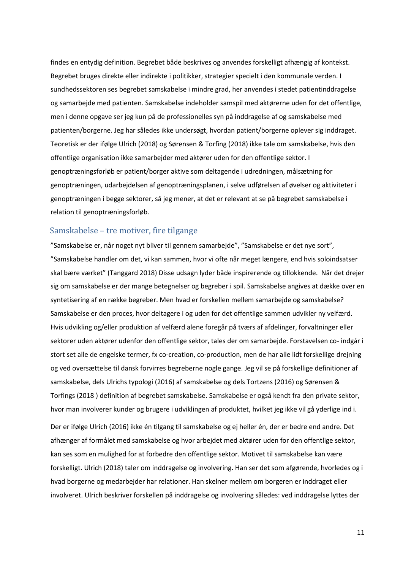findes en entydig definition. Begrebet både beskrives og anvendes forskelligt afhængig af kontekst. Begrebet bruges direkte eller indirekte i politikker, strategier specielt i den kommunale verden. I sundhedssektoren ses begrebet samskabelse i mindre grad, her anvendes i stedet patientinddragelse og samarbejde med patienten. Samskabelse indeholder samspil med aktørerne uden for det offentlige, men i denne opgave ser jeg kun på de professionelles syn på inddragelse af og samskabelse med patienten/borgerne. Jeg har således ikke undersøgt, hvordan patient/borgerne oplever sig inddraget. Teoretisk er der ifølge Ulrich (2018) og Sørensen & Torfing (2018) ikke tale om samskabelse, hvis den offentlige organisation ikke samarbejder med aktører uden for den offentlige sektor. I genoptræningsforløb er patient/borger aktive som deltagende i udredningen, målsætning for genoptræningen, udarbejdelsen af genoptræningsplanen, i selve udførelsen af øvelser og aktiviteter i genoptræningen i begge sektorer, så jeg mener, at det er relevant at se på begrebet samskabelse i relation til genoptræningsforløb.

#### <span id="page-10-0"></span>Samskabelse – tre motiver, fire tilgange

"Samskabelse er, når noget nyt bliver til gennem samarbejde", "Samskabelse er det nye sort", "Samskabelse handler om det, vi kan sammen, hvor vi ofte når meget længere, end hvis soloindsatser skal bære værket" (Tanggard 2018) Disse udsagn lyder både inspirerende og tillokkende. Når det drejer sig om samskabelse er der mange betegnelser og begreber i spil. Samskabelse angives at dække over en syntetisering af en række begreber. Men hvad er forskellen mellem samarbejde og samskabelse? Samskabelse er den proces, hvor deltagere i og uden for det offentlige sammen udvikler ny velfærd. Hvis udvikling og/eller produktion af velfærd alene foregår på tværs af afdelinger, forvaltninger eller sektorer uden aktører udenfor den offentlige sektor, tales der om samarbejde. Forstavelsen co- indgår i stort set alle de engelske termer, fx co-creation, co-production, men de har alle lidt forskellige drejning og ved oversættelse til dansk forvirres begreberne nogle gange. Jeg vil se på forskellige definitioner af samskabelse, dels Ulrichs typologi (2016) af samskabelse og dels Tortzens (2016) og Sørensen & Torfings (2018 ) definition af begrebet samskabelse. Samskabelse er også kendt fra den private sektor, hvor man involverer kunder og brugere i udviklingen af produktet, hvilket jeg ikke vil gå yderlige ind i.

Der er ifølge Ulrich (2016) ikke én tilgang til samskabelse og ej heller én, der er bedre end andre. Det afhænger af formålet med samskabelse og hvor arbejdet med aktører uden for den offentlige sektor, kan ses som en mulighed for at forbedre den offentlige sektor. Motivet til samskabelse kan være forskelligt. Ulrich (2018) taler om inddragelse og involvering. Han ser det som afgørende, hvorledes og i hvad borgerne og medarbejder har relationer. Han skelner mellem om borgeren er inddraget eller involveret. Ulrich beskriver forskellen på inddragelse og involvering således: ved inddragelse lyttes der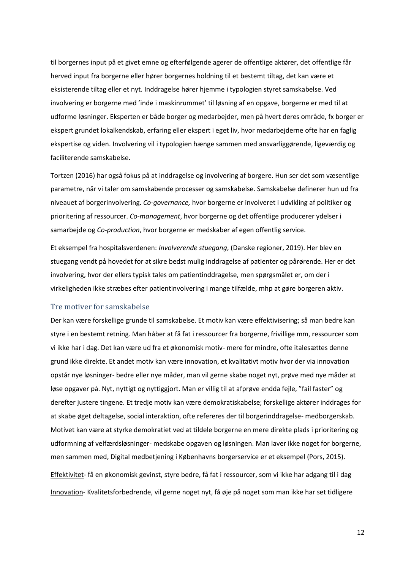til borgernes input på et givet emne og efterfølgende agerer de offentlige aktører, det offentlige får herved input fra borgerne eller hører borgernes holdning til et bestemt tiltag, det kan være et eksisterende tiltag eller et nyt. Inddragelse hører hjemme i typologien styret samskabelse. Ved involvering er borgerne med 'inde i maskinrummet' til løsning af en opgave, borgerne er med til at udforme løsninger. Eksperten er både borger og medarbejder, men på hvert deres område, fx borger er ekspert grundet lokalkendskab, erfaring eller ekspert i eget liv, hvor medarbejderne ofte har en faglig ekspertise og viden. Involvering vil i typologien hænge sammen med ansvarliggørende, ligeværdig og faciliterende samskabelse.

Tortzen (2016) har også fokus på at inddragelse og involvering af borgere. Hun ser det som væsentlige parametre, når vi taler om samskabende processer og samskabelse. Samskabelse definerer hun ud fra niveauet af borgerinvolvering. *Co-governance,* hvor borgerne er involveret i udvikling af politiker og prioritering af ressourcer. *Co-management*, hvor borgerne og det offentlige producerer ydelser i samarbejde og *Co-production*, hvor borgerne er medskaber af egen offentlig service.

Et eksempel fra hospitalsverdenen: *Involverende stuegang*, (Danske regioner, 2019). Her blev en stuegang vendt på hovedet for at sikre bedst mulig inddragelse af patienter og pårørende. Her er det involvering, hvor der ellers typisk tales om patientinddragelse, men spørgsmålet er, om der i virkeligheden ikke stræbes efter patientinvolvering i mange tilfælde, mhp at gøre borgeren aktiv.

#### <span id="page-11-0"></span>Tre motiver for samskabelse

Der kan være forskellige grunde til samskabelse. Et motiv kan være effektivisering; så man bedre kan styre i en bestemt retning. Man håber at få fat i ressourcer fra borgerne, frivillige mm, ressourcer som vi ikke har i dag. Det kan være ud fra et økonomisk motiv- mere for mindre, ofte italesættes denne grund ikke direkte. Et andet motiv kan være innovation, et kvalitativt motiv hvor der via innovation opstår nye løsninger- bedre eller nye måder, man vil gerne skabe noget nyt, prøve med nye måder at løse opgaver på. Nyt, nyttigt og nyttiggjort. Man er villig til at afprøve endda fejle, "fail faster" og derefter justere tingene. Et tredje motiv kan være demokratiskabelse; forskellige aktører inddrages for at skabe øget deltagelse, social interaktion, ofte refereres der til borgerinddragelse- medborgerskab. Motivet kan være at styrke demokratiet ved at tildele borgerne en mere direkte plads i prioritering og udformning af velfærdsløsninger- medskabe opgaven og løsningen. Man laver ikke noget for borgerne, men sammen med, Digital medbetjening i Københavns borgerservice er et eksempel (Pors, 2015).

Effektivitet- få en økonomisk gevinst, styre bedre, få fat i ressourcer, som vi ikke har adgang til i dag Innovation- Kvalitetsforbedrende, vil gerne noget nyt, få øje på noget som man ikke har set tidligere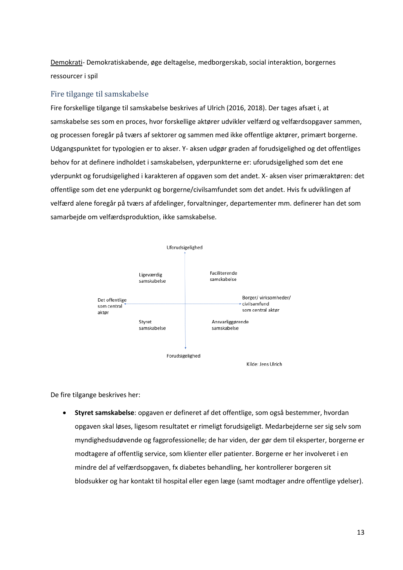Demokrati- Demokratiskabende, øge deltagelse, medborgerskab, social interaktion, borgernes ressourcer i spil

#### <span id="page-12-0"></span>Fire tilgange til samskabelse

Fire forskellige tilgange til samskabelse beskrives af Ulrich (2016, 2018). Der tages afsæt i, at samskabelse ses som en proces, hvor forskellige aktører udvikler velfærd og velfærdsopgaver sammen, og processen foregår på tværs af sektorer og sammen med ikke offentlige aktører, primært borgerne. Udgangspunktet for typologien er to akser. Y- aksen udgør graden af forudsigelighed og det offentliges behov for at definere indholdet i samskabelsen, yderpunkterne er: uforudsigelighed som det ene yderpunkt og forudsigelighed i karakteren af opgaven som det andet. X- aksen viser primæraktøren: det offentlige som det ene yderpunkt og borgerne/civilsamfundet som det andet. Hvis fx udviklingen af velfærd alene foregår på tværs af afdelinger, forvaltninger, departementer mm. definerer han det som samarbejde om velfærdsproduktion, ikke samskabelse.



De fire tilgange beskrives her:

• **Styret samskabelse**: opgaven er defineret af det offentlige, som også bestemmer, hvordan opgaven skal løses, ligesom resultatet er rimeligt forudsigeligt. Medarbejderne ser sig selv som myndighedsudøvende og fagprofessionelle; de har viden, der gør dem til eksperter, borgerne er modtagere af offentlig service, som klienter eller patienter. Borgerne er her involveret i en mindre del af velfærdsopgaven, fx diabetes behandling, her kontrollerer borgeren sit blodsukker og har kontakt til hospital eller egen læge (samt modtager andre offentlige ydelser).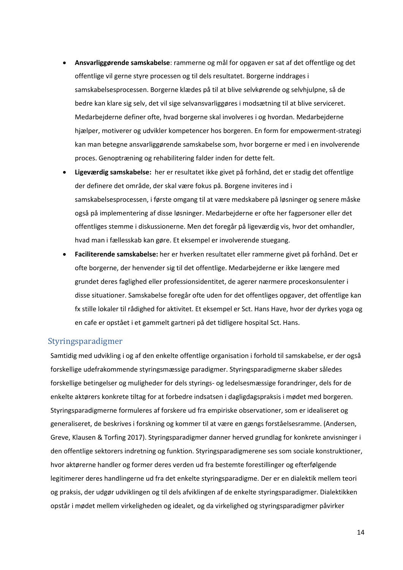- **Ansvarliggørende samskabelse**: rammerne og mål for opgaven er sat af det offentlige og det offentlige vil gerne styre processen og til dels resultatet. Borgerne inddrages i samskabelsesprocessen. Borgerne klædes på til at blive selvkørende og selvhjulpne, så de bedre kan klare sig selv, det vil sige selvansvarliggøres i modsætning til at blive serviceret. Medarbejderne definer ofte, hvad borgerne skal involveres i og hvordan. Medarbejderne hjælper, motiverer og udvikler kompetencer hos borgeren. En form for empowerment-strategi kan man betegne ansvarliggørende samskabelse som, hvor borgerne er med i en involverende proces. Genoptræning og rehabilitering falder inden for dette felt.
- **Ligeværdig samskabelse:** her er resultatet ikke givet på forhånd, det er stadig det offentlige der definere det område, der skal være fokus på. Borgene inviteres ind i samskabelsesprocessen, i første omgang til at være medskabere på løsninger og senere måske også på implementering af disse løsninger. Medarbejderne er ofte her fagpersoner eller det offentliges stemme i diskussionerne. Men det foregår på ligeværdig vis, hvor det omhandler, hvad man i fællesskab kan gøre. Et eksempel er involverende stuegang.
- **Faciliterende samskabelse:** her er hverken resultatet eller rammerne givet på forhånd. Det er ofte borgerne, der henvender sig til det offentlige. Medarbejderne er ikke længere med grundet deres faglighed eller professionsidentitet, de agerer nærmere proceskonsulenter i disse situationer. Samskabelse foregår ofte uden for det offentliges opgaver, det offentlige kan fx stille lokaler til rådighed for aktivitet. Et eksempel er Sct. Hans Have, hvor der dyrkes yoga og en cafe er opstået i et gammelt gartneri på det tidligere hospital Sct. Hans.

#### <span id="page-13-0"></span>Styringsparadigmer

Samtidig med udvikling i og af den enkelte offentlige organisation i forhold til samskabelse, er der også forskellige udefrakommende styringsmæssige paradigmer. Styringsparadigmerne skaber således forskellige betingelser og muligheder for dels styrings- og ledelsesmæssige forandringer, dels for de enkelte aktørers konkrete tiltag for at forbedre indsatsen i dagligdagspraksis i mødet med borgeren. Styringsparadigmerne formuleres af forskere ud fra empiriske observationer, som er idealiseret og generaliseret, de beskrives i forskning og kommer til at være en gængs forståelsesramme. (Andersen, Greve, Klausen & Torfing 2017). Styringsparadigmer danner herved grundlag for konkrete anvisninger i den offentlige sektorers indretning og funktion. Styringsparadigmerene ses som sociale konstruktioner, hvor aktørerne handler og former deres verden ud fra bestemte forestillinger og efterfølgende legitimerer deres handlingerne ud fra det enkelte styringsparadigme. Der er en dialektik mellem teori og praksis, der udgør udviklingen og til dels afviklingen af de enkelte styringsparadigmer. Dialektikken opstår i mødet mellem virkeligheden og idealet, og da virkelighed og styringsparadigmer påvirker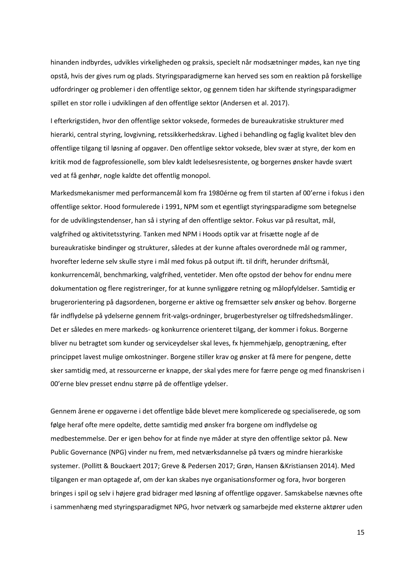hinanden indbyrdes, udvikles virkeligheden og praksis, specielt når modsætninger mødes, kan nye ting opstå, hvis der gives rum og plads. Styringsparadigmerne kan herved ses som en reaktion på forskellige udfordringer og problemer i den offentlige sektor, og gennem tiden har skiftende styringsparadigmer spillet en stor rolle i udviklingen af den offentlige sektor (Andersen et al. 2017).

I efterkrigstiden, hvor den offentlige sektor voksede, formedes de bureaukratiske strukturer med hierarki, central styring, lovgivning, retssikkerhedskrav. Lighed i behandling og faglig kvalitet blev den offentlige tilgang til løsning af opgaver. Den offentlige sektor voksede, blev svær at styre, der kom en kritik mod de fagprofessionelle, som blev kaldt ledelsesresistente, og borgernes ønsker havde svært ved at få genhør, nogle kaldte det offentlig monopol.

Markedsmekanismer med performancemål kom fra 1980érne og frem til starten af 00'erne i fokus i den offentlige sektor. Hood formulerede i 1991, NPM som et egentligt styringsparadigme som betegnelse for de udviklingstendenser, han så i styring af den offentlige sektor. Fokus var på resultat, mål, valgfrihed og aktivitetsstyring. Tanken med NPM i Hoods optik var at frisætte nogle af de bureaukratiske bindinger og strukturer, således at der kunne aftales overordnede mål og rammer, hvorefter lederne selv skulle styre i mål med fokus på output ift. til drift, herunder driftsmål, konkurrencemål, benchmarking, valgfrihed, ventetider. Men ofte opstod der behov for endnu mere dokumentation og flere registreringer, for at kunne synliggøre retning og målopfyldelser. Samtidig er brugerorientering på dagsordenen, borgerne er aktive og fremsætter selv ønsker og behov. Borgerne får indflydelse på ydelserne gennem frit-valgs-ordninger, brugerbestyrelser og tilfredshedsmålinger. Det er således en mere markeds- og konkurrence orienteret tilgang, der kommer i fokus. Borgerne bliver nu betragtet som kunder og serviceydelser skal leves, fx hjemmehjælp, genoptræning, efter princippet lavest mulige omkostninger. Borgene stiller krav og ønsker at få mere for pengene, dette sker samtidig med, at ressourcerne er knappe, der skal ydes mere for færre penge og med finanskrisen i 00'erne blev presset endnu større på de offentlige ydelser.

Gennem årene er opgaverne i det offentlige både blevet mere komplicerede og specialiserede, og som følge heraf ofte mere opdelte, dette samtidig med ønsker fra borgene om indflydelse og medbestemmelse. Der er igen behov for at finde nye måder at styre den offentlige sektor på. New Public Governance (NPG) vinder nu frem, med netværksdannelse på tværs og mindre hierarkiske systemer. (Pollitt & Bouckaert 2017; Greve & Pedersen 2017; Grøn, Hansen &Kristiansen 2014). Med tilgangen er man optagede af, om der kan skabes nye organisationsformer og fora, hvor borgeren bringes i spil og selv i højere grad bidrager med løsning af offentlige opgaver. Samskabelse nævnes ofte i sammenhæng med styringsparadigmet NPG, hvor netværk og samarbejde med eksterne aktører uden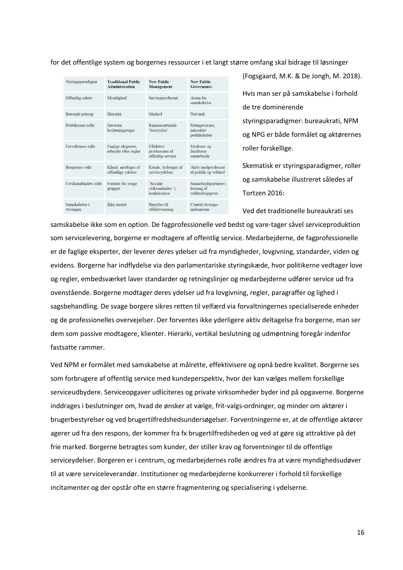for det offentlige system og borgernes ressourcer i et langt større omfang skal bidrage til løsninger

| Styringsparadigme          | <b>Traditional Public</b><br><b>Administration</b> | <b>New Public</b><br>Management                  | <b>New Public</b><br>Governance                       |
|----------------------------|----------------------------------------------------|--------------------------------------------------|-------------------------------------------------------|
| Offentlig sektor           | Myndighed                                          | Serviceproducent                                 | Arena for<br>samskabelse                              |
| Bærende princip            | Hierarki                                           | Marked                                           | Netværk                                               |
| Politikernes rolle         | Suveræn<br>beslutningstager                        | Rammesættende<br>'bestyrelse'                    | Metaguvernør.<br>interaktiv<br>politikskaber          |
| Forvalternes rolle         | Faglige eksperter,<br>arbejder efter regler        | Effektive<br>producenter af<br>offentlig service | Medierer og<br>faciliterer<br>samarbejde              |
| Borgernes rolle            | Klient, modtager af<br>offentlige ydelser          | Kunde, forbruger af<br>serviceydelser            | Aktiv medproducent<br>af politik og velfærd           |
| Civilsamfundets rolle      | Fortaler for svage<br>grupper                      | 'Sociale<br>virksomheder' i<br>konkurrence       | Samarbejdspartnere i<br>løsning af<br>velfærdsopgaver |
| Samskabelse i<br>styringen | <b>Ikke</b> onsket                                 | <b>Benyttes til</b><br>effektivisering           | Central styrings-<br>mekanisme                        |

(Fogsgaard, M.K. & De Jongh, M. 2018). Hvis man ser på samskabelse i forhold de tre dominerende styringsparadigmer: bureaukrati, NPM og NPG er både formålet og aktørernes roller forskellige.

Skematisk er styringsparadigmer, roller og samskabelse illustreret således af Tortzen 2016:

Ved det traditionelle bureaukrati ses

samskabelse ikke som en option. De fagprofessionelle ved bedst og vare-tager såvel serviceproduktion som servicelevering, borgerne er modtagere af offentlig service. Medarbejderne, de fagprofessionelle er de faglige eksperter, der leverer deres ydelser ud fra myndigheder, lovgivning, standarder, viden og evidens. Borgerne har indflydelse via den parlamentariske styringskæde, hvor politikerne vedtager love og regler, embedsværket laver standarder og retningslinjer og medarbejderne udfører service ud fra ovenstående. Borgerne modtager deres ydelser ud fra lovgivning, regler, paragraffer og lighed i sagsbehandling. De svage borgere sikres retten til velfærd via forvaltningernes specialiserede enheder og de professionelles overvejelser. Der forventes ikke yderligere aktiv deltagelse fra borgerne, man ser dem som passive modtagere, klienter. Hierarki, vertikal beslutning og udmøntning foregår indenfor fastsatte rammer.

Ved NPM er formålet med samskabelse at målrette, effektivisere og opnå bedre kvalitet. Borgerne ses som forbrugere af offentlig service med kundeperspektiv, hvor der kan vælges mellem forskellige serviceudbydere. Serviceopgaver udliciteres og private virksomheder byder ind på opgaverne. Borgerne inddrages i beslutninger om, hvad de ønsker at vælge, frit-valgs-ordninger, og minder om aktører i brugerbestyrelser og ved brugertilfredshedsundersøgelser. Forventningerne er, at de offentlige aktører agerer ud fra den respons, der kommer fra fx brugertilfredsheden og ved at gøre sig attraktive på det frie marked. Borgerne betragtes som kunder, der stiller krav og forventninger til de offentlige serviceydelser. Borgeren er i centrum, og medarbejdernes rolle ændres fra at være myndighedsudøver til at være serviceleverandør. Institutioner og medarbejderne konkurrerer i forhold til forskellige incitamenter og der opstår ofte en større fragmentering og specialisering i ydelserne.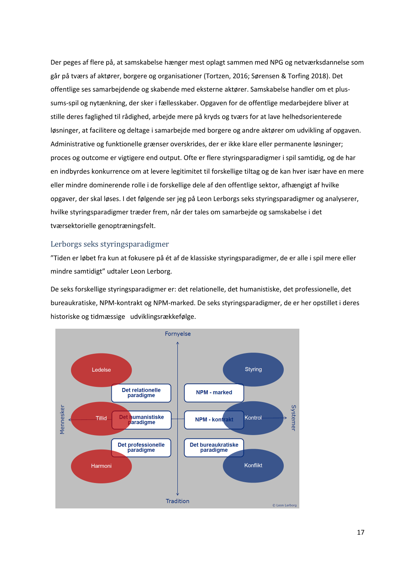Der peges af flere på, at samskabelse hænger mest oplagt sammen med NPG og netværksdannelse som går på tværs af aktører, borgere og organisationer (Tortzen, 2016; Sørensen & Torfing 2018). Det offentlige ses samarbejdende og skabende med eksterne aktører. Samskabelse handler om et plussums-spil og nytænkning, der sker i fællesskaber. Opgaven for de offentlige medarbejdere bliver at stille deres faglighed til rådighed, arbejde mere på kryds og tværs for at lave helhedsorienterede løsninger, at facilitere og deltage i samarbejde med borgere og andre aktører om udvikling af opgaven. Administrative og funktionelle grænser overskrides, der er ikke klare eller permanente løsninger; proces og outcome er vigtigere end output. Ofte er flere styringsparadigmer i spil samtidig, og de har en indbyrdes konkurrence om at levere legitimitet til forskellige tiltag og de kan hver især have en mere eller mindre dominerende rolle i de forskellige dele af den offentlige sektor, afhængigt af hvilke opgaver, der skal løses. I det følgende ser jeg på Leon Lerborgs seks styringsparadigmer og analyserer, hvilke styringsparadigmer træder frem, når der tales om samarbejde og samskabelse i det tværsektorielle genoptræningsfelt.

#### <span id="page-16-0"></span>Lerborgs seks styringsparadigmer

"Tiden er løbet fra kun at fokusere på ét af de klassiske styringsparadigmer, de er alle i spil mere eller mindre samtidigt" udtaler Leon Lerborg.

De seks forskellige styringsparadigmer er: det relationelle, det humanistiske, det professionelle, det bureaukratiske, NPM-kontrakt og NPM-marked. De seks styringsparadigmer, de er her opstillet i deres historiske og tidmæssige udviklingsrækkefølge.

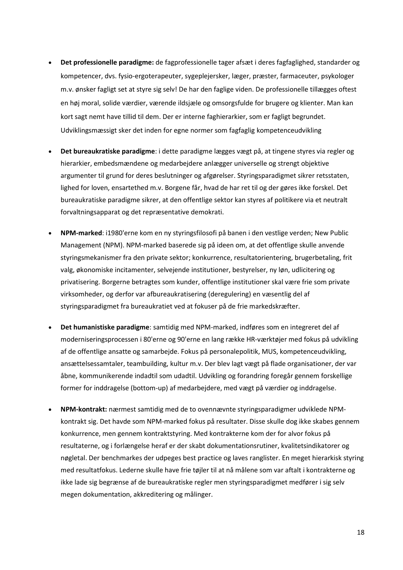- **Det professionelle paradigme:** de fagprofessionelle tager afsæt i deres fagfaglighed, standarder og kompetencer, dvs. fysio-ergoterapeuter, sygeplejersker, læger, præster, farmaceuter, psykologer m.v. ønsker fagligt set at styre sig selv! De har den faglige viden. De professionelle tillægges oftest en høj moral, solide værdier, værende ildsjæle og omsorgsfulde for brugere og klienter. Man kan kort sagt nemt have tillid til dem. Der er interne faghierarkier, som er fagligt begrundet. Udviklingsmæssigt sker det inden for egne normer som fagfaglig kompetenceudvikling
- **Det bureaukratiske paradigme**: i dette paradigme lægges vægt på, at tingene styres via regler og hierarkier, embedsmændene og medarbejdere anlægger universelle og strengt objektive argumenter til grund for deres beslutninger og afgørelser. Styringsparadigmet sikrer retsstaten, lighed for loven, ensartethed m.v. Borgene får, hvad de har ret til og der gøres ikke forskel. Det bureaukratiske paradigme sikrer, at den offentlige sektor kan styres af politikere via et neutralt forvaltningsapparat og det repræsentative demokrati.
- **NPM-marked**: i1980'erne kom en ny styringsfilosofi på banen i den vestlige verden; New Public Management (NPM). NPM-marked baserede sig på ideen om, at det offentlige skulle anvende styringsmekanismer fra den private sektor; konkurrence, resultatorientering, brugerbetaling, frit valg, økonomiske incitamenter, selvejende institutioner, bestyrelser, ny løn, udlicitering og privatisering. Borgerne betragtes som kunder, offentlige institutioner skal være frie som private virksomheder, og derfor var afbureaukratisering (deregulering) en væsentlig del af styringsparadigmet fra bureaukratiet ved at fokuser på de frie markedskræfter.
- **Det humanistiske paradigme**: samtidig med NPM-marked, indføres som en integreret del af moderniseringsprocessen i 80'erne og 90'erne en lang række HR-værktøjer med fokus på udvikling af de offentlige ansatte og samarbejde. Fokus på personalepolitik, MUS, kompetenceudvikling, ansættelsessamtaler, teambuilding, kultur m.v. Der blev lagt vægt på flade organisationer, der var åbne, kommunikerende indadtil som udadtil. Udvikling og forandring foregår gennem forskellige former for inddragelse (bottom-up) af medarbejdere, med vægt på værdier og inddragelse.
- **NPM-kontrakt:** nærmest samtidig med de to ovennævnte styringsparadigmer udviklede NPMkontrakt sig. Det havde som NPM-marked fokus på resultater. Disse skulle dog ikke skabes gennem konkurrence, men gennem kontraktstyring. Med kontrakterne kom der for alvor fokus på resultaterne, og i forlængelse heraf er der skabt dokumentationsrutiner, kvalitetsindikatorer og nøgletal. Der benchmarkes der udpeges best practice og laves ranglister. En meget hierarkisk styring med resultatfokus. Lederne skulle have frie tøjler til at nå målene som var aftalt i kontrakterne og ikke lade sig begrænse af de bureaukratiske regler men styringsparadigmet medfører i sig selv megen dokumentation, akkreditering og målinger.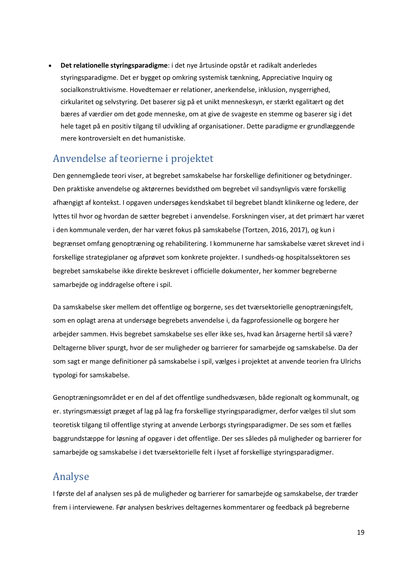• **Det relationelle styringsparadigme**: i det nye årtusinde opstår et radikalt anderledes styringsparadigme. Det er bygget op omkring systemisk tænkning, Appreciative Inquiry og socialkonstruktivisme. Hovedtemaer er relationer, anerkendelse, inklusion, nysgerrighed, cirkularitet og selvstyring. Det baserer sig på et unikt menneskesyn, er stærkt egalitært og det bæres af værdier om det gode menneske, om at give de svageste en stemme og baserer sig i det hele taget på en positiv tilgang til udvikling af organisationer. Dette paradigme er grundlæggende mere kontroversielt en det humanistiske.

## <span id="page-18-0"></span>Anvendelse af teorierne i projektet

Den gennemgåede teori viser, at begrebet samskabelse har forskellige definitioner og betydninger. Den praktiske anvendelse og aktørernes bevidsthed om begrebet vil sandsynligvis være forskellig afhængigt af kontekst. I opgaven undersøges kendskabet til begrebet blandt klinikerne og ledere, der lyttes til hvor og hvordan de sætter begrebet i anvendelse. Forskningen viser, at det primært har været i den kommunale verden, der har været fokus på samskabelse (Tortzen, 2016, 2017), og kun i begrænset omfang genoptræning og rehabilitering. I kommunerne har samskabelse været skrevet ind i forskellige strategiplaner og afprøvet som konkrete projekter. I sundheds-og hospitalssektoren ses begrebet samskabelse ikke direkte beskrevet i officielle dokumenter, her kommer begreberne samarbejde og inddragelse oftere i spil.

Da samskabelse sker mellem det offentlige og borgerne, ses det tværsektorielle genoptræningsfelt, som en oplagt arena at undersøge begrebets anvendelse i, da fagprofessionelle og borgere her arbejder sammen. Hvis begrebet samskabelse ses eller ikke ses, hvad kan årsagerne hertil så være? Deltagerne bliver spurgt, hvor de ser muligheder og barrierer for samarbejde og samskabelse. Da der som sagt er mange definitioner på samskabelse i spil, vælges i projektet at anvende teorien fra Ulrichs typologi for samskabelse.

Genoptræningsområdet er en del af det offentlige sundhedsvæsen, både regionalt og kommunalt, og er. styringsmæssigt præget af lag på lag fra forskellige styringsparadigmer, derfor vælges til slut som teoretisk tilgang til offentlige styring at anvende Lerborgs styringsparadigmer. De ses som et fælles baggrundstæppe for løsning af opgaver i det offentlige. Der ses således på muligheder og barrierer for samarbejde og samskabelse i det tværsektorielle felt i lyset af forskellige styringsparadigmer.

## <span id="page-18-1"></span>Analyse

I første del af analysen ses på de muligheder og barrierer for samarbejde og samskabelse, der træder frem i interviewene. Før analysen beskrives deltagernes kommentarer og feedback på begreberne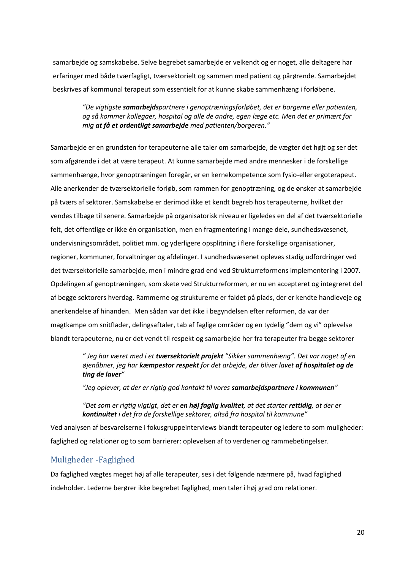samarbejde og samskabelse. Selve begrebet samarbejde er velkendt og er noget, alle deltagere har erfaringer med både tværfagligt, tværsektorielt og sammen med patient og pårørende. Samarbejdet beskrives af kommunal terapeut som essentielt for at kunne skabe sammenhæng i forløbene.

*"De vigtigste samarbejdspartnere i genoptræningsforløbet, det er borgerne eller patienten, og så kommer kollegaer, hospital og alle de andre, egen læge etc. Men det er primært for mig at få et ordentligt samarbejde med patienten/borgeren."* 

Samarbejde er en grundsten for terapeuterne alle taler om samarbejde, de vægter det højt og ser det som afgørende i det at være terapeut. At kunne samarbejde med andre mennesker i de forskellige sammenhænge, hvor genoptræningen foregår, er en kernekompetence som fysio-eller ergoterapeut. Alle anerkender de tværsektorielle forløb, som rammen for genoptræning, og de ønsker at samarbejde på tværs af sektorer. Samskabelse er derimod ikke et kendt begreb hos terapeuterne, hvilket der vendes tilbage til senere. Samarbejde på organisatorisk niveau er ligeledes en del af det tværsektorielle felt, det offentlige er ikke én organisation, men en fragmentering i mange dele, sundhedsvæsenet, undervisningsområdet, politiet mm. og yderligere opsplitning i flere forskellige organisationer, regioner, kommuner, forvaltninger og afdelinger. I sundhedsvæsenet opleves stadig udfordringer ved det tværsektorielle samarbejde, men i mindre grad end ved Strukturreformens implementering i 2007. Opdelingen af genoptræningen, som skete ved Strukturreformen, er nu en accepteret og integreret del af begge sektorers hverdag. Rammerne og strukturerne er faldet på plads, der er kendte handleveje og anerkendelse af hinanden. Men sådan var det ikke i begyndelsen efter reformen, da var der magtkampe om snitflader, delingsaftaler, tab af faglige områder og en tydelig "dem og vi" oplevelse blandt terapeuterne, nu er det vendt til respekt og samarbejde her fra terapeuter fra begge sektorer

> *" Jeg har været med i et tværsektorielt projekt "Sikker sammenhæng". Det var noget af en øjenåbner, jeg har kæmpestor respekt for det arbejde, der bliver lavet af hospitalet og de ting de laver"*

*"Jeg oplever, at der er rigtig god kontakt til vores samarbejdspartnere i kommunen"* 

*"Det som er rigtig vigtigt, det er en høj faglig kvalitet, at det starter rettidig, at der er kontinuitet i det fra de forskellige sektorer, altså fra hospital til kommune"*

Ved analysen af besvarelserne i fokusgruppeinterviews blandt terapeuter og ledere to som muligheder: faglighed og relationer og to som barrierer: oplevelsen af to verdener og rammebetingelser.

#### <span id="page-19-0"></span>Muligheder -Faglighed

Da faglighed vægtes meget høj af alle terapeuter, ses i det følgende nærmere på, hvad faglighed indeholder. Lederne berører ikke begrebet faglighed, men taler i høj grad om relationer.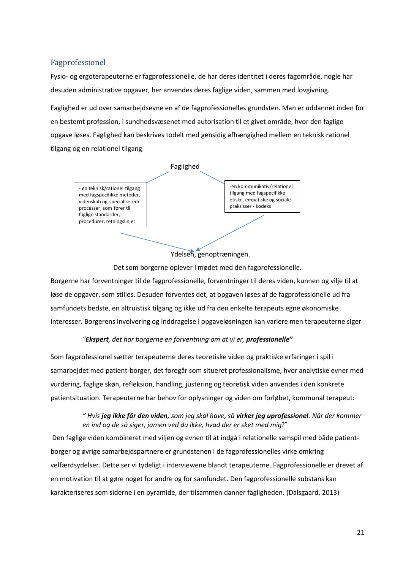#### <span id="page-20-0"></span>Fagprofessionel

Fysio- og ergoterapeuterne er fagprofessionelle, de har deres identitet i deres fagområde, nogle har desuden administrative opgaver, her anvendes deres faglige viden, sammen med lovgivning.

Faglighed er ud over samarbejdsevne en af de fagprofessionelles grundsten. Man er uddannet inden for en bestemt profession, i sundhedsvæsenet med autorisation til et givet område, hvor den faglige opgave løses. Faglighed kan beskrives todelt med gensidig afhængighed mellem en teknisk rationel tilgang og en relationel tilgang



Ydelsen, genoptræningen.

Det som borgerne oplever i mødet med den fagprofessionelle.

Borgerne har forventninger til de fagprofessionelle, forventninger til deres viden, kunnen og vilje til at løse de opgaver, som stilles. Desuden forventes det, at opgaven løses af de fagprofessionelle ud fra samfundets bedste, en altruistisk tilgang og ikke ud fra den enkelte terapeuts egne økonomiske interesser. Borgerens involvering og inddragelse i opgaveløsningen kan variere men terapeuterne siger

#### *"Ekspert, det har borgerne en forventning om at vi er, professionelle"*

Som fagprofessionel sætter terapeuterne deres teoretiske viden og praktiske erfaringer i spil i samarbejdet med patient-borger, det foregår som situeret professionalisme, hvor analytiske evner med vurdering, faglige skøn, refleksion, handling, justering og teoretisk viden anvendes i den konkrete patientsituation. Terapeuterne har behov for oplysninger og viden om forløbet, kommunal terapeut:

#### *" Hvis jeg ikke får den viden, som jeg skal have, så virker jeg uprofessionel. Når der kommer en ind og de så siger, jamen ved du ikke, hvad der er sket med mig*?"

Den faglige viden kombineret med viljen og evnen til at indgå i relationelle samspil med både patientborger og øvrige samarbejdspartnere er grundstenen i de fagprofessionelles virke omkring velfærdsydelser. Dette ser vi tydeligt i interviewene blandt terapeuterne. Fagprofessionelle er drevet af en motivation til at gøre noget for andre og for samfundet. Den fagprofessionelle substans kan karakteriseres som siderne i en pyramide, der tilsammen danner fagligheden. (Dalsgaard, 2013)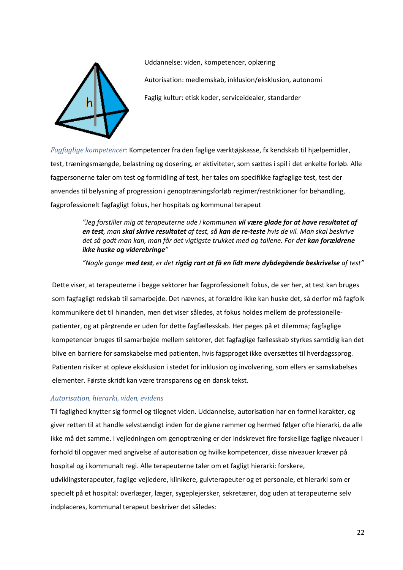

Uddannelse: viden, kompetencer, oplæring Autorisation: medlemskab, inklusion/eksklusion, autonomi Faglig kultur: etisk koder, serviceidealer, standarder

*Fagfaglige kompetencer*: Kompetencer fra den faglige værktøjskasse, fx kendskab til hjælpemidler, test, træningsmængde, belastning og dosering, er aktiviteter, som sættes i spil i det enkelte forløb. Alle fagpersonerne taler om test og formidling af test, her tales om specifikke fagfaglige test, test der anvendes til belysning af progression i genoptræningsforløb regimer/restriktioner for behandling, fagprofessionelt fagfagligt fokus, her hospitals og kommunal terapeut

#### *"Jeg forstiller mig at terapeuterne ude i kommunen vil være glade for at have resultatet af en test, man skal skrive resultatet af test, så kan de re-teste hvis de vil. Man skal beskrive*  det så godt man kan, man får det vigtigste trukket med og tallene. For det **kan forældrene** *ikke huske og viderebringe"*

*"Nogle gange med test, er det rigtig rart at få en lidt mere dybdegående beskrivelse af test"*

Dette viser, at terapeuterne i begge sektorer har fagprofessionelt fokus, de ser her, at test kan bruges som fagfagligt redskab til samarbejde. Det nævnes, at forældre ikke kan huske det, så derfor må fagfolk kommunikere det til hinanden, men det viser således, at fokus holdes mellem de professionellepatienter, og at pårørende er uden for dette fagfællesskab. Her peges på et dilemma; fagfaglige kompetencer bruges til samarbejde mellem sektorer, det fagfaglige fællesskab styrkes samtidig kan det blive en barriere for samskabelse med patienten, hvis fagsproget ikke oversættes til hverdagssprog. Patienten risiker at opleve eksklusion i stedet for inklusion og involvering, som ellers er samskabelses elementer. Første skridt kan være transparens og en dansk tekst.

#### *Autorisation, hierarki, viden, evidens*

Til faglighed knytter sig formel og tilegnet viden. Uddannelse, autorisation har en formel karakter, og giver retten til at handle selvstændigt inden for de givne rammer og hermed følger ofte hierarki, da alle ikke må det samme. I vejledningen om genoptræning er der indskrevet fire forskellige faglige niveauer i forhold til opgaver med angivelse af autorisation og hvilke kompetencer, disse niveauer kræver på hospital og i kommunalt regi. Alle terapeuterne taler om et fagligt hierarki: forskere, udviklingsterapeuter, faglige vejledere, klinikere, gulvterapeuter og et personale, et hierarki som er specielt på et hospital: overlæger, læger, sygeplejersker, sekretærer, dog uden at terapeuterne selv indplaceres, kommunal terapeut beskriver det således: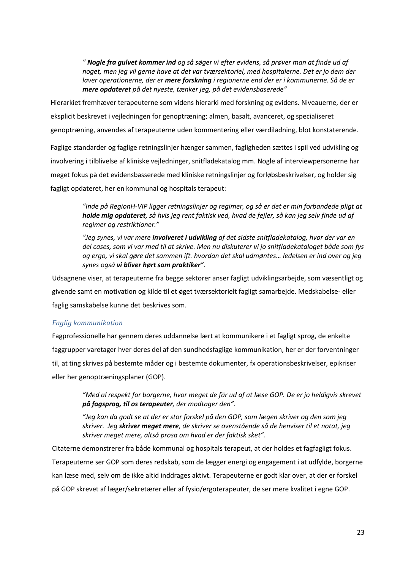*" Nogle fra gulvet kommer ind og så søger vi efter evidens, så prøver man at finde ud af noget, men jeg vil gerne have at det var tværsektoriel, med hospitalerne. Det er jo dem der laver operationerne, der er mere forskning i regionerne end der er i kommunerne. Så de er mere opdateret på det nyeste, tænker jeg, på det evidensbaserede"*

Hierarkiet fremhæver terapeuterne som videns hierarki med forskning og evidens. Niveauerne, der er eksplicit beskrevet i vejledningen for genoptræning; almen, basalt, avanceret, og specialiseret genoptræning, anvendes af terapeuterne uden kommentering eller værdiladning, blot konstaterende.

Faglige standarder og faglige retningslinjer hænger sammen, fagligheden sættes i spil ved udvikling og involvering i tilblivelse af kliniske vejledninger, snitfladekatalog mm. Nogle af interviewpersonerne har meget fokus på det evidensbasserede med kliniske retningslinjer og forløbsbeskrivelser, og holder sig fagligt opdateret, her en kommunal og hospitals terapeut:

> *"Inde på RegionH-VIP ligger retningslinjer og regimer, og så er det er min forbandede pligt at holde mig opdateret, så hvis jeg rent faktisk ved, hvad de fejler, så kan jeg selv finde ud af regimer og restriktioner."*

> *"Jeg synes, vi var mere involveret i udvikling af det sidste snitfladekatalog, hvor der var en del cases, som vi var med til at skrive. Men nu diskuterer vi jo snitfladekataloget både som fys og ergo, vi skal gøre det sammen ift. hvordan det skal udmøntes… ledelsen er ind over og jeg synes også vi bliver hørt som praktiker".*

Udsagnene viser, at terapeuterne fra begge sektorer anser fagligt udviklingsarbejde, som væsentligt og givende samt en motivation og kilde til et øget tværsektorielt fagligt samarbejde. Medskabelse- eller faglig samskabelse kunne det beskrives som.

#### *Faglig kommunikation*

Fagprofessionelle har gennem deres uddannelse lært at kommunikere i et fagligt sprog, de enkelte faggrupper varetager hver deres del af den sundhedsfaglige kommunikation, her er der forventninger til, at ting skrives på bestemte måder og i bestemte dokumenter, fx operationsbeskrivelser, epikriser eller her genoptræningsplaner (GOP).

*"Med al respekt for borgerne, hvor meget de får ud af at læse GOP. De er jo heldigvis skrevet på fagsprog, til os terapeuter, der modtager den".*

*"Jeg kan da godt se at der er stor forskel på den GOP, som lægen skriver og den som jeg skriver. Jeg skriver meget mere, de skriver se ovenstående så de henviser til et notat, jeg skriver meget mere, altså prosa om hvad er der faktisk sket".*

Citaterne demonstrerer fra både kommunal og hospitals terapeut, at der holdes et fagfagligt fokus. Terapeuterne ser GOP som deres redskab, som de lægger energi og engagement i at udfylde, borgerne kan læse med, selv om de ikke altid inddrages aktivt. Terapeuterne er godt klar over, at der er forskel på GOP skrevet af læger/sekretærer eller af fysio/ergoterapeuter, de ser mere kvalitet i egne GOP.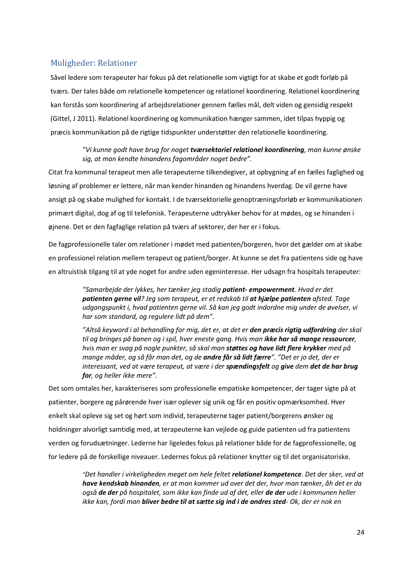#### <span id="page-23-0"></span>Muligheder: Relationer

Såvel ledere som terapeuter har fokus på det relationelle som vigtigt for at skabe et godt forløb på tværs. Der tales både om relationelle kompetencer og relationel koordinering. Relationel koordinering kan forstås som koordinering af arbejdsrelationer gennem fælles mål, delt viden og gensidig respekt (Gittel, J 2011). Relationel koordinering og kommunikation hænger sammen, idet tilpas hyppig og præcis kommunikation på de rigtige tidspunkter understøtter den relationelle koordinering.

#### *"Vi kunne godt have brug for noget tværsektoriel relationel koordinering, man kunne ønske sig, at man kendte hinandens fagområder noget bedre".*

Citat fra kommunal terapeut men alle terapeuterne tilkendegiver, at opbygning af en fælles faglighed og løsning af problemer er lettere, når man kender hinanden og hinandens hverdag. De vil gerne have ansigt på og skabe mulighed for kontakt. I de tværsektorielle genoptræningsforløb er kommunikationen primært digital, dog af og til telefonisk. Terapeuterne udtrykker behov for at mødes, og se hinanden i øjnene. Det er den fagfaglige relation på tværs af sektorer, der her er i fokus.

De fagprofessionelle taler om relationer i mødet med patienten/borgeren, hvor det gælder om at skabe en professionel relation mellem terapeut og patient/borger. At kunne se det fra patientens side og have en altruistisk tilgang til at yde noget for andre uden egeninteresse. Her udsagn fra hospitals terapeuter:

> *"Samarbejde der lykkes, her tænker jeg stadig patient- empowerment. Hvad er det patienten gerne vil? Jeg som terapeut, er et redskab til at hjælpe patienten afsted. Tage udgangspunkt i, hvad patienten gerne vil. Så kan jeg godt indordne mig under de øvelser, vi har som standard, og regulere lidt på dem".*

*"Altså keyword i al behandling for mig, det er, at det er den præcis rigtig udfordring der skal til og bringes på banen og i spil, hver eneste gang. Hvis man ikke har så mange ressourcer, hvis man er svag på nogle punkter, så skal man støttes og have lidt flere krykker med på mange måder, og så får man det, og de andre får så lidt færre". "Det er jo det, der er interessant, ved at være terapeut, at være i der spændingsfelt og give dem det de har brug for, og heller ikke mere".*

Det som omtales her, karakteriseres som professionelle empatiske kompetencer, der tager sigte på at patienter, borgere og pårørende hver især oplever sig unik og får en positiv opmærksomhed. Hver enkelt skal opleve sig set og hørt som individ, terapeuterne tager patient/borgerens ønsker og holdninger alvorligt samtidig med, at terapeuterne kan vejlede og guide patienten ud fra patientens verden og forudsætninger. Lederne har ligeledes fokus på relationer både for de fagprofessionelle, og for ledere på de forskellige niveauer. Ledernes fokus på relationer knytter sig til det organisatoriske.

> *"Det handler i virkeligheden meget om hele feltet relationel kompetence. Det der sker, ved at have kendskab hinanden, er at man kommer ud over det der, hvor man tænker, åh det er da også de der på hospitalet, som ikke kan finde ud af det, eller de der ude i kommunen heller ikke kan, fordi man bliver bedre til at sætte sig ind i de andres sted- Ok, der er nok en*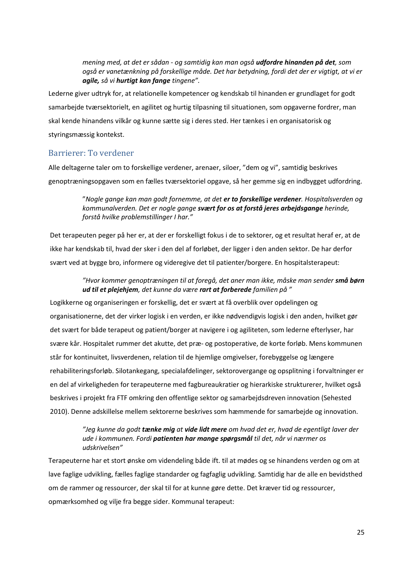*mening med, at det er sådan - og samtidig kan man også udfordre hinanden på det, som også er vanetænkning på forskellige måde. Det har betydning, fordi det der er vigtigt, at vi er agile, så vi hurtigt kan fange tingene".*

Lederne giver udtryk for, at relationelle kompetencer og kendskab til hinanden er grundlaget for godt samarbejde tværsektorielt, en agilitet og hurtig tilpasning til situationen, som opgaverne fordrer, man skal kende hinandens vilkår og kunne sætte sig i deres sted. Her tænkes i en organisatorisk og styringsmæssig kontekst.

#### <span id="page-24-0"></span>Barrierer: To verdener

Alle deltagerne taler om to forskellige verdener, arenaer, siloer, "dem og vi", samtidig beskrives genoptræningsopgaven som en fælles tværsektoriel opgave, så her gemme sig en indbygget udfordring.

> "*Nogle gange kan man godt fornemme, at det er to forskellige verdener. Hospitalsverden og kommunalverden. Det er nogle gange svært for os at forstå jeres arbejdsgange herinde, forstå hvilke problemstillinger I har."*

Det terapeuten peger på her er, at der er forskelligt fokus i de to sektorer, og et resultat heraf er, at de ikke har kendskab til, hvad der sker i den del af forløbet, der ligger i den anden sektor. De har derfor svært ved at bygge bro, informere og videregive det til patienter/borgere. En hospitalsterapeut:

#### *"Hvor kommer genoptræningen til at foregå, det aner man ikke, måske man sender små børn ud til et plejehjem, det kunne da være rart at forberede familien på "*

Logikkerne og organiseringen er forskellig, det er svært at få overblik over opdelingen og organisationerne, det der virker logisk i en verden, er ikke nødvendigvis logisk i den anden, hvilket gør det svært for både terapeut og patient/borger at navigere i og agiliteten, som lederne efterlyser, har svære kår. Hospitalet rummer det akutte, det præ- og postoperative, de korte forløb. Mens kommunen står for kontinuitet, livsverdenen, relation til de hjemlige omgivelser, forebyggelse og længere rehabiliteringsforløb. Silotankegang, specialafdelinger, sektorovergange og opsplitning i forvaltninger er en del af virkeligheden for terapeuterne med fagbureaukratier og hierarkiske strukturerer, hvilket også beskrives i projekt fra FTF omkring den offentlige sektor og samarbejdsdreven innovation (Sehested 2010). Denne adskillelse mellem sektorerne beskrives som hæmmende for samarbejde og innovation.

#### *"Jeg kunne da godt tænke mig at vide lidt mere om hvad det er, hvad de egentligt laver der ude i kommunen. Fordi patienten har mange spørgsmål til det, når vi nærmer os udskrivelsen"*

Terapeuterne har et stort ønske om videndeling både ift. til at mødes og se hinandens verden og om at lave faglige udvikling, fælles faglige standarder og fagfaglig udvikling. Samtidig har de alle en bevidsthed om de rammer og ressourcer, der skal til for at kunne gøre dette. Det kræver tid og ressourcer, opmærksomhed og vilje fra begge sider. Kommunal terapeut: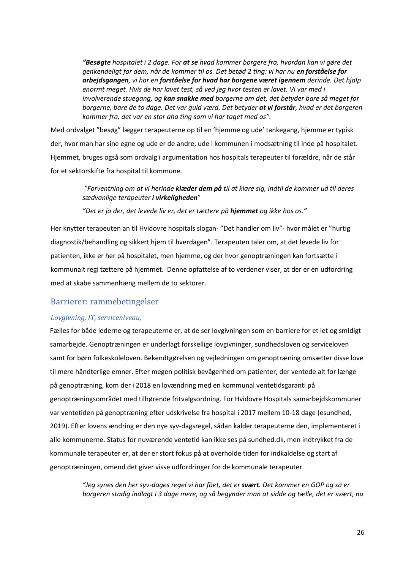*"Besøgte hospitalet i 2 dage. For at se hvad kommer borgere fra, hvordan kan vi gøre det genkendeligt for dem, når de kommer til os. Det betød 2 ting: vi har nu en forståelse for arbejdsgangen, vi har en forståelse for hvad har borgene været igennem derinde. Det hjalp enormt meget. Hvis de har lavet test, så ved jeg hvor testen er lavet. Vi var med i involverende stuegang, og kan snakke med borgerne om det, det betyder bare så meget for borgerne, bare de to dage. Det var guld værd. Det betyder at vi forstår, hvad er det borgeren kommer fra, det var en stor aha ting som vi har taget med os".* 

Med ordvalget "besøg" lægger terapeuterne op til en 'hjemme og ude' tankegang, hjemme er typisk der, hvor man har sine egne og ude er de andre, ude i kommunen i modsætning til inde på hospitalet. Hjemmet, bruges også som ordvalg i argumentation hos hospitals terapeuter til forældre, når de står for et sektorskifte fra hospital til kommune*.*

> *"Forventning om at vi herinde klæder dem på til at klare sig, indtil de kommer ud til deres sædvanlige terapeuter i virkeligheden*"

*"Det er jo der, det levede liv er, det er tættere på hjemmet og ikke hos os."*

Her knytter terapeuten an til Hvidovre hospitals slogan- "Det handler om liv"- hvor målet er "hurtig diagnostik/behandling og sikkert hjem til hverdagen". Terapeuten taler om, at det levede liv for patienten, ikke er her på hospitalet, men hjemme, og der hvor genoptræningen kan fortsætte i kommunalt regi tættere på hjemmet. Denne opfattelse af to verdener viser, at der er en udfordring med at skabe sammenhæng mellem de to sektorer.

#### <span id="page-25-0"></span>Barrierer: rammebetingelser

#### *Lovgivning, IT, serviceniveau,*

Fælles for både lederne og terapeuterne er, at de ser lovgivningen som en barriere for et let og smidigt samarbejde. Genoptræningen er underlagt forskellige lovgivninger, sundhedsloven og serviceloven samt for børn folkeskoleloven. Bekendtgørelsen og vejledningen om genoptræning omsætter disse love til mere håndterlige emner. Efter megen politisk bevågenhed om patienter, der ventede alt for længe på genoptræning, kom der i 2018 en lovændring med en kommunal ventetidsgaranti på genoptræningsområdet med tilhørende fritvalgsordning. For Hvidovre Hospitals samarbejdskommuner var ventetiden på genoptræning efter udskrivelse fra hospital i 2017 mellem 10-18 dage (esundhed, 2019). Efter lovens ændring er den nye syv-dagsregel, sådan kalder terapeuterne den, implementeret i alle kommunerne. Status for nuværende ventetid kan ikke ses på sundhed.dk, men indtrykket fra de kommunale terapeuter er, at der er stort fokus på at overholde tiden for indkaldelse og start af genoptræningen, omend det giver visse udfordringer for de kommunale terapeuter.

*"Jeg synes den her syv-dages regel vi har fået, det er svært. Det kommer en GOP og så er borgeren stadig indlagt i 3 dage mere, og så begynder man at sidde og tælle, det er svært, nu*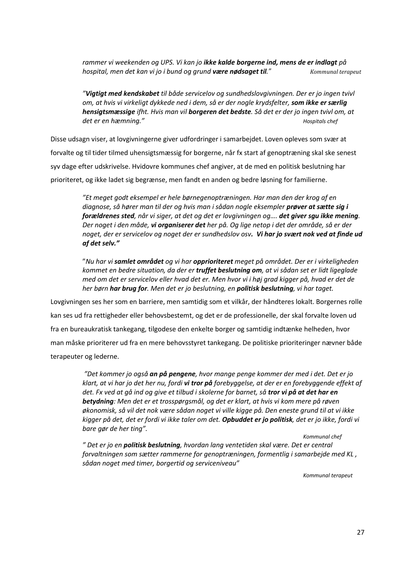*rammer vi weekenden og UPS. Vi kan jo ikke kalde borgerne ind, mens de er indlagt på hospital, men det kan vi jo i bund og grund være nødsaget til." Kommunal terapeut*

*"Vigtigt med kendskabet til både servicelov og sundhedslovgivningen. Der er jo ingen tvivl om, at hvis vi virkeligt dykkede ned i dem, så er der nogle krydsfelter, som ikke er særlig hensigtsmæssige ifht. Hvis man vil borgeren det bedste. Så det er der jo ingen tvivl om, at det er en hæmning." Hospitals chef*

Disse udsagn viser, at lovgivningerne giver udfordringer i samarbejdet. Loven opleves som svær at forvalte og til tider tilmed uhensigtsmæssig for borgerne, når fx start af genoptræning skal ske senest syv dage efter udskrivelse. Hvidovre kommunes chef angiver, at de med en politisk beslutning har prioriteret, og ikke ladet sig begrænse, men fandt en anden og bedre løsning for familierne.

> *"Et meget godt eksempel er hele børnegenoptræningen. Har man den der krog af en diagnose, så hører man til der og hvis man i sådan nogle eksempler prøver at sætte sig i forældrenes sted, når vi siger, at det og det er lovgivningen og…. det giver sgu ikke mening. Der noget i den måde, vi organiserer det her på. Og lige netop i det der område, så er der noget, der er servicelov og noget der er sundhedslov osv. Vi har jo svært nok ved at finde ud af det selv."*

"*Nu har vi samlet området og vi har opprioriteret meget på området. Der er i virkeligheden kommet en bedre situation, da der er truffet beslutning om, at vi sådan set er lidt ligeglade med om det er servicelov eller hvad det er. Men hvor vi i høj grad kigger på, hvad er det de her børn har brug for. Men det er jo beslutning, en politisk beslutning, vi har taget.*

Lovgivningen ses her som en barriere, men samtidig som et vilkår, der håndteres lokalt. Borgernes rolle kan ses ud fra rettigheder eller behovsbestemt, og det er de professionelle, der skal forvalte loven ud fra en bureaukratisk tankegang, tilgodese den enkelte borger og samtidig indtænke helheden, hvor man måske prioriterer ud fra en mere behovsstyret tankegang. De politiske prioriteringer nævner både terapeuter og lederne.

> *"Det kommer jo også an på pengene, hvor mange penge kommer der med i det. Det er jo klart, at vi har jo det her nu, fordi vi tror på forebyggelse, at der er en forebyggende effekt af det. Fx ved at gå ind og give et tilbud i skolerne for barnet, så tror vi på at det har en betydning: Men det er et trosspørgsmål, og det er klart, at hvis vi kom mere på røven økonomisk, så vil det nok være sådan noget vi ville kigge på. Den eneste grund til at vi ikke kigger på det, det er fordi vi ikke taler om det. Opbuddet er jo politisk, det er jo ikke, fordi vi bare gør de her ting".*

*Kommunal chef " Det er jo en politisk beslutning, hvordan lang ventetiden skal være. Det er central forvaltningen som sætter rammerne for genoptræningen, formentlig i samarbejde med KL , sådan noget med timer, borgertid og serviceniveau"* 

*Kommunal terapeut*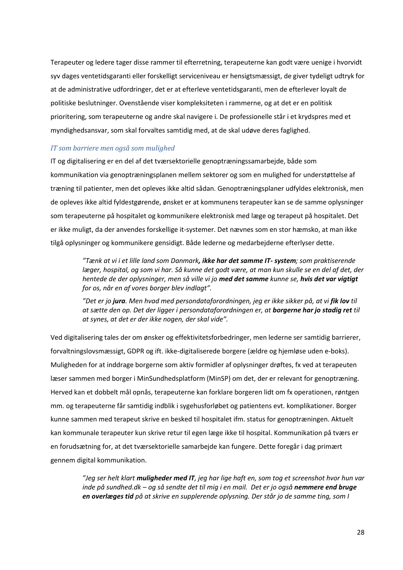Terapeuter og ledere tager disse rammer til efterretning, terapeuterne kan godt være uenige i hvorvidt syv dages ventetidsgaranti eller forskelligt serviceniveau er hensigtsmæssigt, de giver tydeligt udtryk for at de administrative udfordringer, det er at efterleve ventetidsgaranti, men de efterlever loyalt de politiske beslutninger. Ovenstående viser kompleksiteten i rammerne, og at det er en politisk prioritering, som terapeuterne og andre skal navigere i. De professionelle står i et krydspres med et myndighedsansvar, som skal forvaltes samtidig med, at de skal udøve deres faglighed.

#### *IT som barriere men også som mulighed*

IT og digitalisering er en del af det tværsektorielle genoptræningssamarbejde, både som kommunikation via genoptræningsplanen mellem sektorer og som en mulighed for understøttelse af træning til patienter, men det opleves ikke altid sådan. Genoptræningsplaner udfyldes elektronisk, men de opleves ikke altid fyldestgørende, ønsket er at kommunens terapeuter kan se de samme oplysninger som terapeuterne på hospitalet og kommunikere elektronisk med læge og terapeut på hospitalet. Det er ikke muligt, da der anvendes forskellige it-systemer. Det nævnes som en stor hæmsko, at man ikke tilgå oplysninger og kommunikere gensidigt. Både lederne og medarbejderne efterlyser dette.

> *"Tænk at vi i et lille land som Danmark, ikke har det samme IT- system; som praktiserende læger, hospital, og som vi har. Så kunne det godt være, at man kun skulle se en del af det, der hentede de der oplysninger, men så ville vi jo med det samme kunne se, hvis det var vigtigt for os, når en af vores borger blev indlagt".*

*"Det er jo jura. Men hvad med persondataforordningen, jeg er ikke sikker på, at vi fik lov til at sætte den op. Det der ligger i persondataforordningen er, at borgerne har jo stadig ret til at synes, at det er der ikke nogen, der skal vide".*

Ved digitalisering tales der om ønsker og effektivitetsforbedringer, men lederne ser samtidig barrierer, forvaltningslovsmæssigt, GDPR og ift. ikke-digitaliserede borgere (ældre og hjemløse uden e-boks). Muligheden for at inddrage borgerne som aktiv formidler af oplysninger drøftes, fx ved at terapeuten læser sammen med borger i MinSundhedsplatform (MinSP) om det, der er relevant for genoptræning. Herved kan et dobbelt mål opnås, terapeuterne kan forklare borgeren lidt om fx operationen, røntgen mm. og terapeuterne får samtidig indblik i sygehusforløbet og patientens evt. komplikationer. Borger kunne sammen med terapeut skrive en besked til hospitalet ifm. status for genoptræningen. Aktuelt kan kommunale terapeuter kun skrive retur til egen læge ikke til hospital. Kommunikation på tværs er en forudsætning for, at det tværsektorielle samarbejde kan fungere. Dette foregår i dag primært gennem digital kommunikation.

*"Jeg ser helt klart muligheder med IT, jeg har lige haft en, som tog et screenshot hvor hun var inde på sundhed.dk – og så sendte det til mig i en mail. Det er jo også nemmere end bruge en overlæges tid på at skrive en supplerende oplysning. Der står jo de samme ting, som I*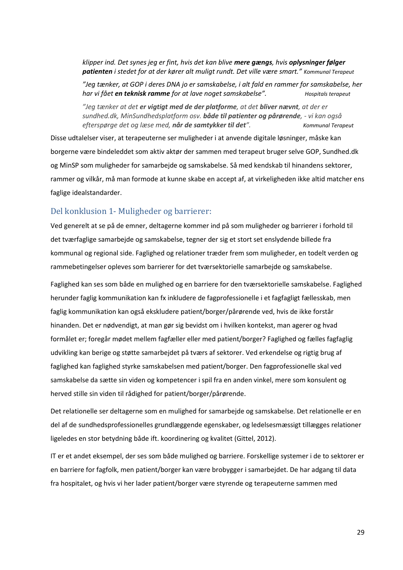*klipper ind. Det synes jeg er fint, hvis det kan blive mere gængs, hvis oplysninger følger patienten i stedet for at der kører alt muligt rundt. Det ville være smart." Kommunal Terapeut*

*"Jeg tænker, at GOP i deres DNA jo er samskabelse, i alt fald en rammer for samskabelse, her har vi fået en teknisk ramme for at lave noget samskabelse". Hospitals terapeut*

*"Jeg tænker at det er vigtigt med de der platforme, at det bliver nævnt, at der er sundhed.dk, MinSundhedsplatform osv. både til patienter og pårørende, - vi kan også efterspørge det og læse med, når de samtykker til det". Kommunal Terapeut*

Disse udtalelser viser, at terapeuterne ser muligheder i at anvende digitale løsninger, måske kan borgerne være bindeleddet som aktiv aktør der sammen med terapeut bruger selve GOP, Sundhed.dk og MinSP som muligheder for samarbejde og samskabelse. Så med kendskab til hinandens sektorer, rammer og vilkår, må man formode at kunne skabe en accept af, at virkeligheden ikke altid matcher ens faglige idealstandarder.

#### <span id="page-28-0"></span>Del konklusion 1- Muligheder og barrierer:

Ved generelt at se på de emner, deltagerne kommer ind på som muligheder og barrierer i forhold til det tværfaglige samarbejde og samskabelse, tegner der sig et stort set enslydende billede fra kommunal og regional side. Faglighed og relationer træder frem som muligheder, en todelt verden og rammebetingelser opleves som barrierer for det tværsektorielle samarbejde og samskabelse.

Faglighed kan ses som både en mulighed og en barriere for den tværsektorielle samskabelse. Faglighed herunder faglig kommunikation kan fx inkludere de fagprofessionelle i et fagfagligt fællesskab, men faglig kommunikation kan også ekskludere patient/borger/pårørende ved, hvis de ikke forstår hinanden. Det er nødvendigt, at man gør sig bevidst om i hvilken kontekst, man agerer og hvad formålet er; foregår mødet mellem fagfæller eller med patient/borger? Faglighed og fælles fagfaglig udvikling kan berige og støtte samarbejdet på tværs af sektorer. Ved erkendelse og rigtig brug af faglighed kan faglighed styrke samskabelsen med patient/borger. Den fagprofessionelle skal ved samskabelse da sætte sin viden og kompetencer i spil fra en anden vinkel, mere som konsulent og herved stille sin viden til rådighed for patient/borger/pårørende.

Det relationelle ser deltagerne som en mulighed for samarbejde og samskabelse. Det relationelle er en del af de sundhedsprofessionelles grundlæggende egenskaber, og ledelsesmæssigt tillægges relationer ligeledes en stor betydning både ift. koordinering og kvalitet (Gittel, 2012).

IT er et andet eksempel, der ses som både mulighed og barriere. Forskellige systemer i de to sektorer er en barriere for fagfolk, men patient/borger kan være brobygger i samarbejdet. De har adgang til data fra hospitalet, og hvis vi her lader patient/borger være styrende og terapeuterne sammen med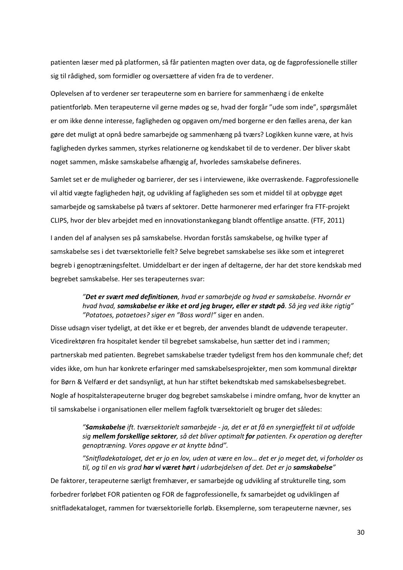patienten læser med på platformen, så får patienten magten over data, og de fagprofessionelle stiller sig til rådighed, som formidler og oversættere af viden fra de to verdener.

Oplevelsen af to verdener ser terapeuterne som en barriere for sammenhæng i de enkelte patientforløb. Men terapeuterne vil gerne mødes og se, hvad der forgår "ude som inde", spørgsmålet er om ikke denne interesse, fagligheden og opgaven om/med borgerne er den fælles arena, der kan gøre det muligt at opnå bedre samarbejde og sammenhæng på tværs? Logikken kunne være, at hvis fagligheden dyrkes sammen, styrkes relationerne og kendskabet til de to verdener. Der bliver skabt noget sammen, måske samskabelse afhængig af, hvorledes samskabelse defineres.

Samlet set er de muligheder og barrierer, der ses i interviewene, ikke overraskende. Fagprofessionelle vil altid vægte fagligheden højt, og udvikling af fagligheden ses som et middel til at opbygge øget samarbejde og samskabelse på tværs af sektorer. Dette harmonerer med erfaringer fra FTF-projekt CLIPS, hvor der blev arbejdet med en innovationstankegang blandt offentlige ansatte. (FTF, 2011)

I anden del af analysen ses på samskabelse. Hvordan forstås samskabelse, og hvilke typer af samskabelse ses i det tværsektorielle felt? Selve begrebet samskabelse ses ikke som et integreret begreb i genoptræningsfeltet. Umiddelbart er der ingen af deltagerne, der har det store kendskab med begrebet samskabelse. Her ses terapeuternes svar:

#### *"Det er svært med definitionen, hvad er samarbejde og hvad er samskabelse. Hvornår er hvad hvad, samskabelse er ikke et ord jeg bruger, eller er stødt på. Så jeg ved ikke rigtig" "Potatoes, potaetoes? siger en "Boss word!"* siger en anden.

Disse udsagn viser tydeligt, at det ikke er et begreb, der anvendes blandt de udøvende terapeuter. Vicedirektøren fra hospitalet kender til begrebet samskabelse, hun sætter det ind i rammen; partnerskab med patienten. Begrebet samskabelse træder tydeligst frem hos den kommunale chef; det vides ikke, om hun har konkrete erfaringer med samskabelsesprojekter, men som kommunal direktør for Børn & Velfærd er det sandsynligt, at hun har stiftet bekendtskab med samskabelsesbegrebet. Nogle af hospitalsterapeuterne bruger dog begrebet samskabelse i mindre omfang, hvor de knytter an til samskabelse i organisationen eller mellem fagfolk tværsektorielt og bruger det således:

> *"Samskabelse ift. tværsektorielt samarbejde - ja, det er at få en synergieffekt til at udfolde sig mellem forskellige sektorer, så det bliver optimalt for patienten. Fx operation og derefter genoptræning. Vores opgave er at knytte bånd".*

> *"Snitfladekataloget, det er jo en lov, uden at være en lov… det er jo meget det, vi forholder os til, og til en vis grad har vi været hørt i udarbejdelsen af det. Det er jo samskabelse"*

De faktorer, terapeuterne særligt fremhæver, er samarbejde og udvikling af strukturelle ting, som forbedrer forløbet FOR patienten og FOR de fagprofessionelle, fx samarbejdet og udviklingen af snitfladekataloget, rammen for tværsektorielle forløb. Eksemplerne, som terapeuterne nævner, ses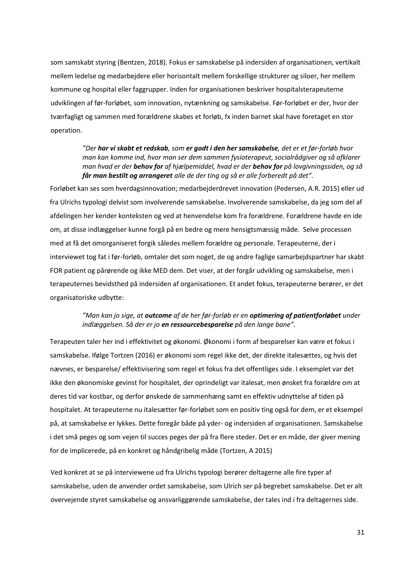som samskabt styring (Bentzen, 2018). Fokus er samskabelse på indersiden af organisationen, vertikalt mellem ledelse og medarbejdere eller horisontalt mellem forskellige strukturer og siloer, her mellem kommune og hospital eller faggrupper. Inden for organisationen beskriver hospitalsterapeuterne udviklingen af før-forløbet, som innovation, nytænkning og samskabelse. Før-forløbet er der, hvor der tværfagligt og sammen med forældrene skabes et forløb, fx inden barnet skal have foretaget en stor operation.

#### *"Der har vi skabt et redskab, som er godt i den her samskabelse, det er et før-forløb hvor man kan komme ind, hvor man ser dem sammen fysioterapeut, socialrådgiver og så afklarer man hvad er der behov for af hjælpemiddel, hvad er der behov for på lovgivningssiden, og så får man bestilt og arrangeret alle de der ting og så er alle forberedt på det".*

Forløbet kan ses som hverdagsinnovation; medarbejderdrevet innovation (Pedersen, A.R. 2015) eller ud fra Ulrichs typologi delvist som involverende samskabelse. Involverende samskabelse, da jeg som del af afdelingen her kender konteksten og ved at henvendelse kom fra forældrene. Forældrene havde en ide om, at disse indlæggelser kunne forgå på en bedre og mere hensigtsmæssig måde. Selve processen med at få det omorganiseret forgik således mellem forældre og personale. Terapeuterne, der i interviewet tog fat i før-forløb, omtaler det som noget, de og andre faglige samarbejdspartner har skabt FOR patient og pårørende og ikke MED dem. Det viser, at der forgår udvikling og samskabelse, men i terapeuternes bevidsthed på indersiden af organisationen. Et andet fokus, terapeuterne berører, er det organisatoriske udbytte:

#### *"Man kan jo sige, at outcome af de her før-forløb er en optimering af patientforløbet under indlæggelsen. Så der er jo en ressourcebesparelse på den lange bane".*

Terapeuten taler her ind i effektivitet og økonomi. Økonomi i form af besparelser kan være et fokus i samskabelse. Ifølge Tortzen (2016) er økonomi som regel ikke det, der direkte italesættes, og hvis det nævnes, er besparelse/ effektivisering som regel et fokus fra det offentliges side. I eksemplet var det ikke den økonomiske gevinst for hospitalet, der oprindeligt var italesat, men ønsket fra forældre om at deres tid var kostbar, og derfor ønskede de sammenhæng samt en effektiv udnyttelse af tiden på hospitalet. At terapeuterne nu italesætter før-forløbet som en positiv ting også for dem, er et eksempel på, at samskabelse er lykkes. Dette foregår både på yder- og indersiden af organisationen. Samskabelse i det små peges og som vejen til succes peges der på fra flere steder. Det er en måde, der giver mening for de implicerede, på en konkret og håndgribelig måde (Tortzen, A 2015)

Ved konkret at se på interviewene ud fra Ulrichs typologi berører deltagerne alle fire typer af samskabelse, uden de anvender ordet samskabelse, som Ulrich ser på begrebet samskabelse. Det er alt overvejende styret samskabelse og ansvarliggørende samskabelse, der tales ind i fra deltagernes side.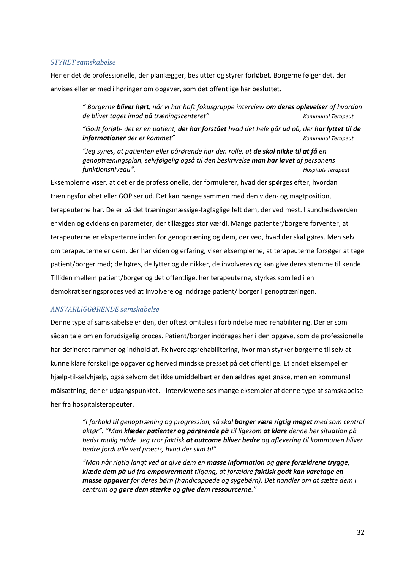#### *STYRET samskabelse*

Her er det de professionelle, der planlægger, beslutter og styrer forløbet. Borgerne følger det, der anvises eller er med i høringer om opgaver, som det offentlige har besluttet.

> *" Borgerne bliver hørt, når vi har haft fokusgruppe interview om deres oplevelser af hvordan de bliver taget imod på træningscenteret" Kommunal Terapeut*

> *"Godt forløb- det er en patient, der har forstået hvad det hele går ud på, der har lyttet til de informationer der er kommet" Kommunal Terapeut*

*"Jeg synes, at patienten eller pårørende har den rolle, at de skal nikke til at få en genoptræningsplan, selvfølgelig også til den beskrivelse man har lavet af personens funktionsniveau". Hospitals Terapeut*

Eksemplerne viser, at det er de professionelle, der formulerer, hvad der spørges efter, hvordan træningsforløbet eller GOP ser ud. Det kan hænge sammen med den viden- og magtposition, terapeuterne har. De er på det træningsmæssige-fagfaglige felt dem, der ved mest. I sundhedsverden er viden og evidens en parameter, der tillægges stor værdi. Mange patienter/borgere forventer, at terapeuterne er eksperterne inden for genoptræning og dem, der ved, hvad der skal gøres. Men selv om terapeuterne er dem, der har viden og erfaring, viser eksemplerne, at terapeuterne forsøger at tage patient/borger med; de høres, de lytter og de nikker, de involveres og kan give deres stemme til kende. Tilliden mellem patient/borger og det offentlige, her terapeuterne, styrkes som led i en demokratiseringsproces ved at involvere og inddrage patient/ borger i genoptræningen.

#### *ANSVARLIGGØRENDE samskabelse*

Denne type af samskabelse er den, der oftest omtales i forbindelse med rehabilitering. Der er som sådan tale om en forudsigelig proces. Patient/borger inddrages her i den opgave, som de professionelle har defineret rammer og indhold af. Fx hverdagsrehabilitering, hvor man styrker borgerne til selv at kunne klare forskellige opgaver og herved mindske presset på det offentlige. Et andet eksempel er hjælp-til-selvhjælp, også selvom det ikke umiddelbart er den ældres eget ønske, men en kommunal målsætning, der er udgangspunktet. I interviewene ses mange eksempler af denne type af samskabelse her fra hospitalsterapeuter.

> *"I forhold til genoptræning og progression, så skal borger være rigtig meget med som central aktør". "Man klæder patienter og pårørende på til ligesom at klare denne her situation på bedst mulig måde. Jeg tror faktisk at outcome bliver bedre og aflevering til kommunen bliver bedre fordi alle ved præcis, hvad der skal til".*

*"Man når rigtig langt ved at give dem en masse information og gøre forældrene trygge, klæde dem på ud fra empowerment tilgang, at forældre faktisk godt kan varetage en masse opgaver for deres børn (handicappede og sygebørn). Det handler om at sætte dem i centrum og gøre dem stærke og give dem ressourcerne."*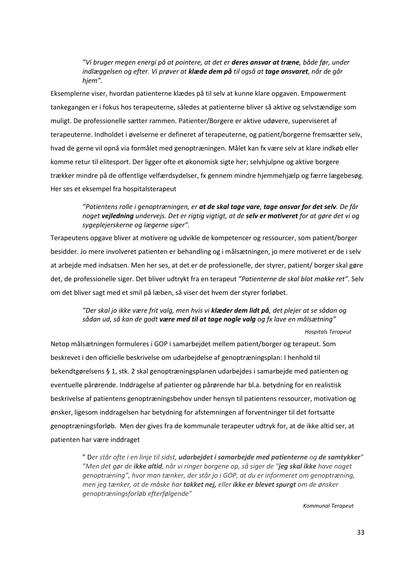#### *"Vi bruger megen energi på at pointere, at det er deres ansvar at træne, både før, under indlæggelsen og efter. Vi prøver at klæde dem på til også at tage ansvaret, når de går hjem".*

Eksemplerne viser, hvordan patienterne klædes på til selv at kunne klare opgaven. Empowerment tankegangen er i fokus hos terapeuterne, således at patienterne bliver så aktive og selvstændige som muligt. De professionelle sætter rammen. Patienter/Borgere er aktive udøvere, superviseret af terapeuterne. Indholdet i øvelserne er defineret af terapeuterne, og patient/borgerne fremsætter selv, hvad de gerne vil opnå via formålet med genoptræningen. Målet kan fx være selv at klare indkøb eller komme retur til elitesport. Der ligger ofte et økonomisk sigte her; selvhjulpne og aktive borgere trækker mindre på de offentlige velfærdsydelser, fx gennem mindre hjemmehjælp og færre lægebesøg. Her ses et eksempel fra hospitalsterapeut

#### *"Patientens rolle i genoptræningen, er at de skal tage vare, tage ansvar for det selv. De får noget vejledning undervejs. Det er rigtig vigtigt, at de selv er motiveret for at gøre det vi og sygeplejerskerne og lægerne siger".*

Terapeutens opgave bliver at motivere og udvikle de kompetencer og ressourcer, som patient/borger besidder. Jo mere involveret patienten er behandling og i målsætningen, jo mere motiveret er de i selv at arbejde med indsatsen. Men her ses, at det er de professionelle, der styrer, patient/ borger skal gøre det, de professionelle siger. Det bliver udtrykt fra en terapeut *"Patienterne de skal blot makke ret".* Selv om det bliver sagt med et smil på læben, så viser det hvem der styrer forløbet.

#### *"Der skal jo ikke være frit valg, men hvis vi klæder dem lidt på, det plejer at se sådan og sådan ud, så kan de godt være med til at tage nogle valg og fx lave en målsætning"*

*Hospitals Terapeut*

Netop målsætningen formuleres i GOP i samarbejdet mellem patient/borger og terapeut. Som beskrevet i den officielle beskrivelse om udarbejdelse af genoptræningsplan: I henhold til bekendtgørelsens § 1, stk. 2 skal genoptræningsplanen udarbejdes i samarbejde med patienten og eventuelle pårørende. Inddragelse af patienter og pårørende har bl.a. betydning for en realistisk beskrivelse af patientens genoptræningsbehov under hensyn til patientens ressourcer, motivation og ønsker, ligesom inddragelsen har betydning for afstemningen af forventninger til det fortsatte genoptræningsforløb. Men der gives fra de kommunale terapeuter udtryk for, at de ikke altid ser, at patienten har være inddraget

> " D*er står ofte i en linje til sidst, udarbejdet i samarbejde med patienterne og de samtykker" "Men det gør de ikke altid, når vi ringer borgene op, så siger de "jeg skal ikke have noget genoptræning", hvor man tænker, der står jo i GOP, at du er informeret om genoptræning, men jeg tænker, at de måske har takket nej, eller ikke er blevet spurgt om de ønsker genoptræningsforløb efterfølgende"*

> > *Kommunal Terapeut*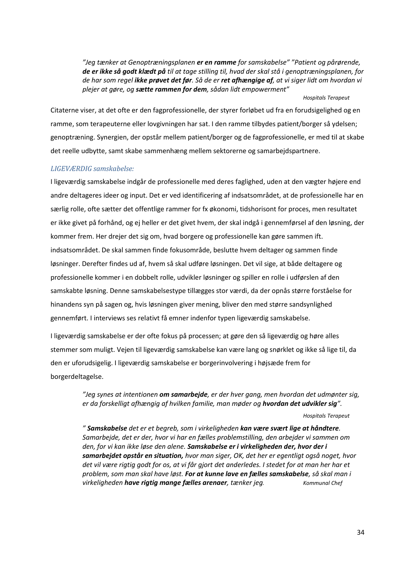*"Jeg tænker at Genoptræningsplanen er en ramme for samskabelse" "Patient og pårørende, de er ikke så godt klædt på til at tage stilling til, hvad der skal stå i genoptræningsplanen, for de har som regel ikke prøvet det før. Så de er ret afhængige af, at vi siger lidt om hvordan vi plejer at gøre, og sætte rammen for dem, sådan lidt empowerment"*

*Hospitals Terapeut*

Citaterne viser, at det ofte er den fagprofessionelle, der styrer forløbet ud fra en forudsigelighed og en ramme, som terapeuterne eller lovgivningen har sat. I den ramme tilbydes patient/borger så ydelsen; genoptræning. Synergien, der opstår mellem patient/borger og de fagprofessionelle, er med til at skabe det reelle udbytte, samt skabe sammenhæng mellem sektorerne og samarbejdspartnere.

#### *LIGEVÆRDIG samskabelse:*

I ligeværdig samskabelse indgår de professionelle med deres faglighed, uden at den vægter højere end andre deltageres ideer og input. Det er ved identificering af indsatsområdet, at de professionelle har en særlig rolle, ofte sætter det offentlige rammer for fx økonomi, tidshorisont for proces, men resultatet er ikke givet på forhånd, og ej heller er det givet hvem, der skal indgå i gennemførsel af den løsning, der kommer frem. Her drejer det sig om, hvad borgere og professionelle kan gøre sammen ift. indsatsområdet. De skal sammen finde fokusområde, beslutte hvem deltager og sammen finde løsninger. Derefter findes ud af, hvem så skal udføre løsningen. Det vil sige, at både deltagere og professionelle kommer i en dobbelt rolle, udvikler løsninger og spiller en rolle i udførslen af den samskabte løsning. Denne samskabelsestype tillægges stor værdi, da der opnås større forståelse for hinandens syn på sagen og, hvis løsningen giver mening, bliver den med større sandsynlighed gennemført. I interviews ses relativt få emner indenfor typen ligeværdig samskabelse.

I ligeværdig samskabelse er der ofte fokus på processen; at gøre den så ligeværdig og høre alles stemmer som muligt. Vejen til ligeværdig samskabelse kan være lang og snørklet og ikke så lige til, da den er uforudsigelig. I ligeværdig samskabelse er borgerinvolvering i højsæde frem for borgerdeltagelse.

> *"Jeg synes at intentionen om samarbejde, er der hver gang, men hvordan det udmønter sig, er da forskelligt afhængig af hvilken familie, man møder og hvordan det udvikler sig".*

> > *Hospitals Terapeut*

*" Samskabelse det er et begreb, som i virkeligheden kan være svært lige at håndtere. Samarbejde, det er der, hvor vi har en fælles problemstilling, den arbejder vi sammen om den, for vi kan ikke løse den alene. Samskabelse er i virkeligheden der, hvor der i samarbejdet opstår en situation, hvor man siger, OK, det her er egentligt også noget, hvor det vil være rigtig godt for os, at vi får gjort det anderledes. I stedet for at man her har et problem, som man skal have løst. For at kunne lave en fælles samskabelse, så skal man i virkeligheden have rigtig mange fælles arenaer, tænker jeg. Kommunal Chef*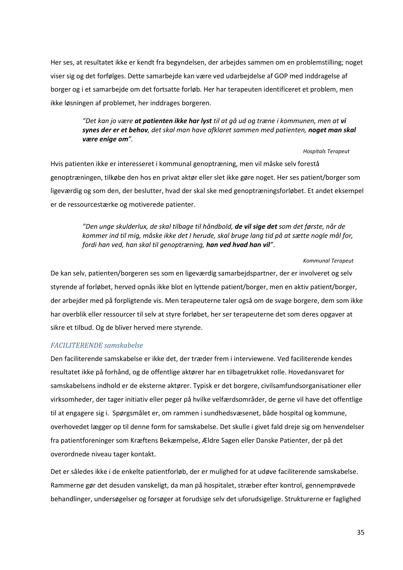Her ses, at resultatet ikke er kendt fra begyndelsen, der arbejdes sammen om en problemstilling; noget viser sig og det forfølges. Dette samarbejde kan være ved udarbejdelse af GOP med inddragelse af borger og i et samarbejde om det fortsatte forløb. Her har terapeuten identificeret et problem, men ikke løsningen af problemet, her inddrages borgeren.

#### *"Det kan jo være at patienten ikke har lyst til at gå ud og træne i kommunen, men at vi synes der er et behov, det skal man have afklaret sammen med patienten, noget man skal være enige om".*

#### *Hospitals Terapeut*

Hvis patienten ikke er interesseret i kommunal genoptræning, men vil måske selv forestå genoptræningen, tilkøbe den hos en privat aktør eller slet ikke gøre noget. Her ses patient/borger som ligeværdig og som den, der beslutter, hvad der skal ske med genoptræningsforløbet. Et andet eksempel er de ressourcestærke og motiverede patienter.

> *"Den unge skulderlux, de skal tilbage til håndbold, de vil sige det som det første, når de kommer ind til mig, måske ikke det I herude, skal bruge lang tid på at sætte nogle mål for, fordi han ved, han skal til genoptræning, han ved hvad han vil"*.

> > *Kommunal Terapeut*

De kan selv, patienten/borgeren ses som en ligeværdig samarbejdspartner, der er involveret og selv styrende af forløbet, herved opnås ikke blot en lyttende patient/borger, men en aktiv patient/borger, der arbejder med på forpligtende vis. Men terapeuterne taler også om de svage borgere, dem som ikke har overblik eller ressourcer til selv at styre forløbet, her ser terapeuterne det som deres opgaver at sikre et tilbud. Og de bliver herved mere styrende.

#### *FACILITERENDE samskabelse*

Den faciliterende samskabelse er ikke det, der træder frem i interviewene. Ved faciliterende kendes resultatet ikke på forhånd, og de offentlige aktører har en tilbagetrukket rolle. Hovedansvaret for samskabelsens indhold er de eksterne aktører. Typisk er det borgere, civilsamfundsorganisationer eller virksomheder, der tager initiativ eller peger på hvilke velfærdsområder, de gerne vil have det offentlige til at engagere sig i. Spørgsmålet er, om rammen i sundhedsvæsenet, både hospital og kommune, overhovedet lægger op til denne form for samskabelse. Det skulle i givet fald dreje sig om henvendelser fra patientforeninger som Kræftens Bekæmpelse, Ældre Sagen eller Danske Patienter, der på det overordnede niveau tager kontakt.

Det er således ikke i de enkelte patientforløb, der er mulighed for at udøve faciliterende samskabelse. Rammerne gør det desuden vanskeligt, da man på hospitalet, stræber efter kontrol, gennemprøvede behandlinger, undersøgelser og forsøger at forudsige selv det uforudsigelige. Strukturerne er faglighed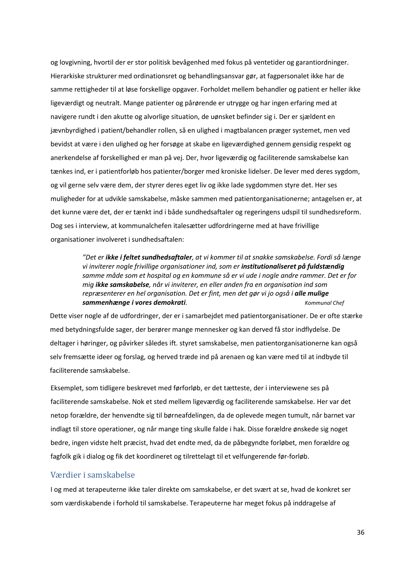og lovgivning, hvortil der er stor politisk bevågenhed med fokus på ventetider og garantiordninger. Hierarkiske strukturer med ordinationsret og behandlingsansvar gør, at fagpersonalet ikke har de samme rettigheder til at løse forskellige opgaver. Forholdet mellem behandler og patient er heller ikke ligeværdigt og neutralt. Mange patienter og pårørende er utrygge og har ingen erfaring med at navigere rundt i den akutte og alvorlige situation, de uønsket befinder sig i. Der er sjældent en jævnbyrdighed i patient/behandler rollen, så en ulighed i magtbalancen præger systemet, men ved bevidst at være i den ulighed og her forsøge at skabe en ligeværdighed gennem gensidig respekt og anerkendelse af forskellighed er man på vej. Der, hvor ligeværdig og faciliterende samskabelse kan tænkes ind, er i patientforløb hos patienter/borger med kroniske lidelser. De lever med deres sygdom, og vil gerne selv være dem, der styrer deres eget liv og ikke lade sygdommen styre det. Her ses muligheder for at udvikle samskabelse, måske sammen med patientorganisationerne; antagelsen er, at det kunne være det, der er tænkt ind i både sundhedsaftaler og regeringens udspil til sundhedsreform. Dog ses i interview, at kommunalchefen italesætter udfordringerne med at have frivillige organisationer involveret i sundhedsaftalen:

> *"Det er ikke i feltet sundhedsaftaler, at vi kommer til at snakke samskabelse. Fordi så længe vi inviterer nogle frivillige organisationer ind, som er institutionaliseret på fuldstændig samme måde som et hospital og en kommune så er vi ude i nogle andre rammer. Det er for mig ikke samskabelse, når vi inviterer, en eller anden fra en organisation ind som repræsenterer en hel organisation. Det er fint, men det gør vi jo også i alle mulige*  **sammenhænge i vores demokrati**. *Kommunal Chef Kommunal Chef Kommunal Chef*

Dette viser nogle af de udfordringer, der er i samarbejdet med patientorganisationer. De er ofte stærke med betydningsfulde sager, der berører mange mennesker og kan derved få stor indflydelse. De deltager i høringer, og påvirker således ift. styret samskabelse, men patientorganisationerne kan også selv fremsætte ideer og forslag, og herved træde ind på arenaen og kan være med til at indbyde til faciliterende samskabelse.

Eksemplet, som tidligere beskrevet med førforløb, er det tætteste, der i interviewene ses på faciliterende samskabelse. Nok et sted mellem ligeværdig og faciliterende samskabelse. Her var det netop forældre, der henvendte sig til børneafdelingen, da de oplevede megen tumult, når barnet var indlagt til store operationer, og når mange ting skulle falde i hak. Disse forældre ønskede sig noget bedre, ingen vidste helt præcist, hvad det endte med, da de påbegyndte forløbet, men forældre og fagfolk gik i dialog og fik det koordineret og tilrettelagt til et velfungerende før-forløb.

#### <span id="page-35-0"></span>Værdier i samskabelse

I og med at terapeuterne ikke taler direkte om samskabelse, er det svært at se, hvad de konkret ser som værdiskabende i forhold til samskabelse. Terapeuterne har meget fokus på inddragelse af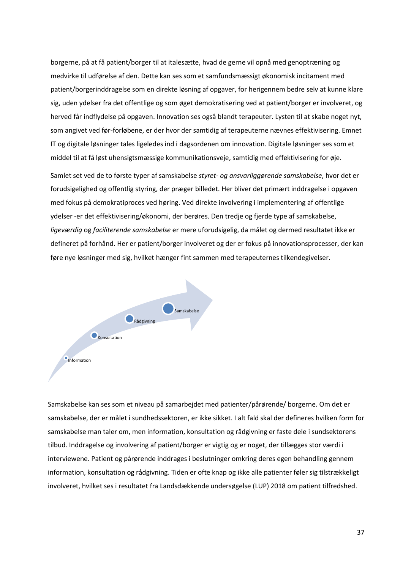borgerne, på at få patient/borger til at italesætte, hvad de gerne vil opnå med genoptræning og medvirke til udførelse af den. Dette kan ses som et samfundsmæssigt økonomisk incitament med patient/borgerinddragelse som en direkte løsning af opgaver, for herigennem bedre selv at kunne klare sig, uden ydelser fra det offentlige og som øget demokratisering ved at patient/borger er involveret, og herved får indflydelse på opgaven. Innovation ses også blandt terapeuter. Lysten til at skabe noget nyt, som angivet ved før-forløbene, er der hvor der samtidig af terapeuterne nævnes effektivisering. Emnet IT og digitale løsninger tales ligeledes ind i dagsordenen om innovation. Digitale løsninger ses som et middel til at få løst uhensigtsmæssige kommunikationsveje, samtidig med effektivisering for øje.

Samlet set ved de to første typer af samskabelse *styret- og ansvarliggørende samskabelse*, hvor det er forudsigelighed og offentlig styring, der præger billedet. Her bliver det primært inddragelse i opgaven med fokus på demokratiproces ved høring. Ved direkte involvering i implementering af offentlige ydelser -er det effektivisering/økonomi, der berøres. Den tredje og fjerde type af samskabelse, *ligeværdig* og *faciliterende samskabelse* er mere uforudsigelig, da målet og dermed resultatet ikke er defineret på forhånd. Her er patient/borger involveret og der er fokus på innovationsprocesser, der kan føre nye løsninger med sig, hvilket hænger fint sammen med terapeuternes tilkendegivelser.



Samskabelse kan ses som et niveau på samarbejdet med patienter/pårørende/ borgerne. Om det er samskabelse, der er målet i sundhedssektoren, er ikke sikket. I alt fald skal der defineres hvilken form for samskabelse man taler om, men information, konsultation og rådgivning er faste dele i sundsektorens tilbud. Inddragelse og involvering af patient/borger er vigtig og er noget, der tillægges stor værdi i interviewene. Patient og pårørende inddrages i beslutninger omkring deres egen behandling gennem information, konsultation og rådgivning. Tiden er ofte knap og ikke alle patienter føler sig tilstrækkeligt involveret, hvilket ses i resultatet fra Landsdækkende undersøgelse (LUP) 2018 om patient tilfredshed.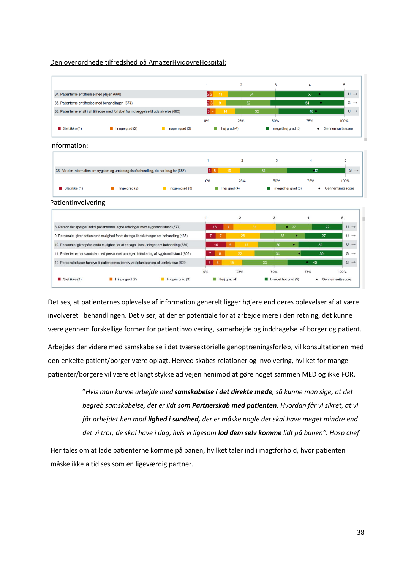#### Den overordnede tilfredshed på AmagerHvidovreHospital:



Det ses, at patienternes oplevelse af information generelt ligger højere end deres oplevelser af at være involveret i behandlingen. Det viser, at der er potentiale for at arbejde mere i den retning, det kunne være gennem forskellige former for patientinvolvering, samarbejde og inddragelse af borger og patient.

Arbejdes der videre med samskabelse i det tværsektorielle genoptræningsforløb, vil konsultationen med den enkelte patient/borger være oplagt. Herved skabes relationer og involvering, hvilket for mange patienter/borgere vil være et langt stykke ad vejen henimod at gøre noget sammen MED og ikke FOR.

> "*Hvis man kunne arbejde med samskabelse i det direkte møde, så kunne man sige, at det begreb samskabelse, det er lidt som Partnerskab med patienten. Hvordan får vi sikret, at vi får arbejdet hen mod lighed i sundhed, der er måske nogle der skal have meget mindre end det vi tror, de skal have i dag, hvis vi ligesom lod dem selv komme lidt på banen". Hosp chef*

Her tales om at lade patienterne komme på banen, hvilket taler ind i magtforhold, hvor patienten måske ikke altid ses som en ligeværdig partner.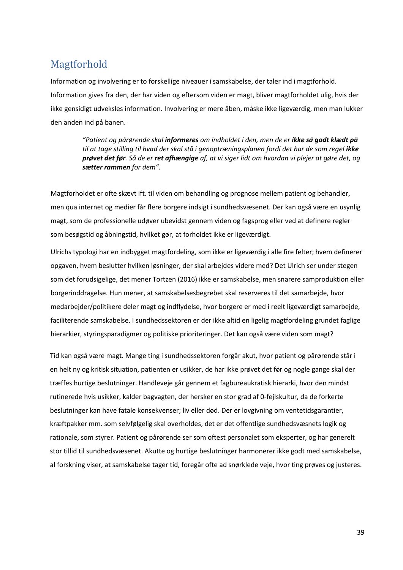# <span id="page-38-0"></span>Magtforhold

Information og involvering er to forskellige niveauer i samskabelse, der taler ind i magtforhold. Information gives fra den, der har viden og eftersom viden er magt, bliver magtforholdet ulig, hvis der ikke gensidigt udveksles information. Involvering er mere åben, måske ikke ligeværdig, men man lukker den anden ind på banen.

> *"Patient og pårørende skal informeres om indholdet i den, men de er ikke så godt klædt på til at tage stilling til hvad der skal stå i genoptræningsplanen fordi det har de som regel ikke prøvet det før. Så de er ret afhængige af, at vi siger lidt om hvordan vi plejer at gøre det, og sætter rammen for dem".*

Magtforholdet er ofte skævt ift. til viden om behandling og prognose mellem patient og behandler, men qua internet og medier får flere borgere indsigt i sundhedsvæsenet. Der kan også være en usynlig magt, som de professionelle udøver ubevidst gennem viden og fagsprog eller ved at definere regler som besøgstid og åbningstid, hvilket gør, at forholdet ikke er ligeværdigt.

Ulrichs typologi har en indbygget magtfordeling, som ikke er ligeværdig i alle fire felter; hvem definerer opgaven, hvem beslutter hvilken løsninger, der skal arbejdes videre med? Det Ulrich ser under stegen som det forudsigelige, det mener Tortzen (2016) ikke er samskabelse, men snarere samproduktion eller borgerinddragelse. Hun mener, at samskabelsesbegrebet skal reserveres til det samarbejde, hvor medarbejder/politikere deler magt og indflydelse, hvor borgere er med i reelt ligeværdigt samarbejde, faciliterende samskabelse. I sundhedssektoren er der ikke altid en ligelig magtfordeling grundet faglige hierarkier, styringsparadigmer og politiske prioriteringer. Det kan også være viden som magt?

Tid kan også være magt. Mange ting i sundhedssektoren forgår akut, hvor patient og pårørende står i en helt ny og kritisk situation, patienten er usikker, de har ikke prøvet det før og nogle gange skal der træffes hurtige beslutninger. Handleveje går gennem et fagbureaukratisk hierarki, hvor den mindst rutinerede hvis usikker, kalder bagvagten, der hersker en stor grad af 0-fejlskultur, da de forkerte beslutninger kan have fatale konsekvenser; liv eller død. Der er lovgivning om ventetidsgarantier, kræftpakker mm. som selvfølgelig skal overholdes, det er det offentlige sundhedsvæsnets logik og rationale, som styrer. Patient og pårørende ser som oftest personalet som eksperter, og har generelt stor tillid til sundhedsvæsenet. Akutte og hurtige beslutninger harmonerer ikke godt med samskabelse, al forskning viser, at samskabelse tager tid, foregår ofte ad snørklede veje, hvor ting prøves og justeres.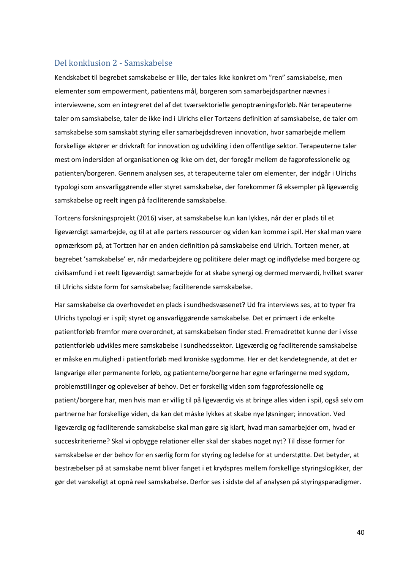#### <span id="page-39-0"></span>Del konklusion 2 - Samskabelse

Kendskabet til begrebet samskabelse er lille, der tales ikke konkret om "ren" samskabelse, men elementer som empowerment, patientens mål, borgeren som samarbejdspartner nævnes i interviewene, som en integreret del af det tværsektorielle genoptræningsforløb. Når terapeuterne taler om samskabelse, taler de ikke ind i Ulrichs eller Tortzens definition af samskabelse, de taler om samskabelse som samskabt styring eller samarbejdsdreven innovation, hvor samarbejde mellem forskellige aktører er drivkraft for innovation og udvikling i den offentlige sektor. Terapeuterne taler mest om indersiden af organisationen og ikke om det, der foregår mellem de fagprofessionelle og patienten/borgeren. Gennem analysen ses, at terapeuterne taler om elementer, der indgår i Ulrichs typologi som ansvarliggørende eller styret samskabelse, der forekommer få eksempler på ligeværdig samskabelse og reelt ingen på faciliterende samskabelse.

Tortzens forskningsprojekt (2016) viser, at samskabelse kun kan lykkes, når der er plads til et ligeværdigt samarbejde, og til at alle parters ressourcer og viden kan komme i spil. Her skal man være opmærksom på, at Tortzen har en anden definition på samskabelse end Ulrich. Tortzen mener, at begrebet 'samskabelse' er, når medarbejdere og politikere deler magt og indflydelse med borgere og civilsamfund i et reelt ligeværdigt samarbejde for at skabe synergi og dermed merværdi, hvilket svarer til Ulrichs sidste form for samskabelse; faciliterende samskabelse.

Har samskabelse da overhovedet en plads i sundhedsvæsenet? Ud fra interviews ses, at to typer fra Ulrichs typologi er i spil; styret og ansvarliggørende samskabelse. Det er primært i de enkelte patientforløb fremfor mere overordnet, at samskabelsen finder sted. Fremadrettet kunne der i visse patientforløb udvikles mere samskabelse i sundhedssektor. Ligeværdig og faciliterende samskabelse er måske en mulighed i patientforløb med kroniske sygdomme. Her er det kendetegnende, at det er langvarige eller permanente forløb, og patienterne/borgerne har egne erfaringerne med sygdom, problemstillinger og oplevelser af behov. Det er forskellig viden som fagprofessionelle og patient/borgere har, men hvis man er villig til på ligeværdig vis at bringe alles viden i spil, også selv om partnerne har forskellige viden, da kan det måske lykkes at skabe nye løsninger; innovation. Ved ligeværdig og faciliterende samskabelse skal man gøre sig klart, hvad man samarbejder om, hvad er succeskriterierne? Skal vi opbygge relationer eller skal der skabes noget nyt? Til disse former for samskabelse er der behov for en særlig form for styring og ledelse for at understøtte. Det betyder, at bestræbelser på at samskabe nemt bliver fanget i et krydspres mellem forskellige styringslogikker, der gør det vanskeligt at opnå reel samskabelse. Derfor ses i sidste del af analysen på styringsparadigmer.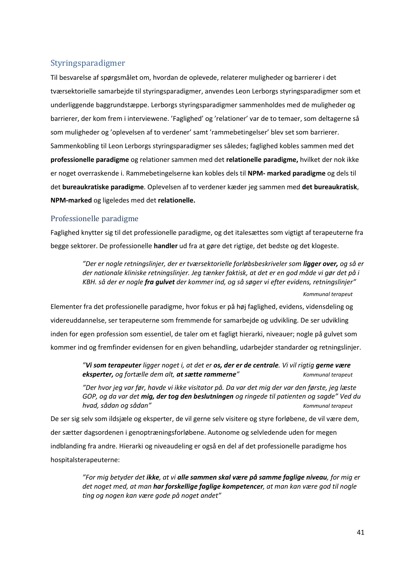#### <span id="page-40-0"></span>Styringsparadigmer

Til besvarelse af spørgsmålet om, hvordan de oplevede, relaterer muligheder og barrierer i det tværsektorielle samarbejde til styringsparadigmer, anvendes Leon Lerborgs styringsparadigmer som et underliggende baggrundstæppe. Lerborgs styringsparadigmer sammenholdes med de muligheder og barrierer, der kom frem i interviewene. 'Faglighed' og 'relationer' var de to temaer, som deltagerne så som muligheder og 'oplevelsen af to verdener' samt 'rammebetingelser' blev set som barrierer. Sammenkobling til Leon Lerborgs styringsparadigmer ses således; faglighed kobles sammen med det **professionelle paradigme** og relationer sammen med det **relationelle paradigme,** hvilket der nok ikke er noget overraskende i. Rammebetingelserne kan kobles dels til **NPM- marked paradigme** og dels til det **bureaukratiske paradigme**. Oplevelsen af to verdener kæder jeg sammen med **det bureaukratisk**, **NPM-marked** og ligeledes med det **relationelle.**

#### <span id="page-40-1"></span>Professionelle paradigme

Faglighed knytter sig til det professionelle paradigme, og det italesættes som vigtigt af terapeuterne fra begge sektorer. De professionelle **handler** ud fra at gøre det rigtige, det bedste og det klogeste.

> *"Der er nogle retningslinjer, der er tværsektorielle forløbsbeskriveler som ligger over, og så er der nationale kliniske retningslinjer. Jeg tænker faktisk, at det er en god måde vi gør det på i KBH. så der er nogle fra gulvet der kommer ind, og så søger vi efter evidens, retningslinjer"*

> > *Kommunal terapeut*

Elementer fra det professionelle paradigme, hvor fokus er på høj faglighed, evidens, vidensdeling og videreuddannelse, ser terapeuterne som fremmende for samarbejde og udvikling. De ser udvikling inden for egen profession som essentiel, de taler om et fagligt hierarki, niveauer; nogle på gulvet som kommer ind og fremfinder evidensen for en given behandling, udarbejder standarder og retningslinjer.

> *"Vi som terapeuter ligger noget i, at det er os, der er de centrale. Vi vil rigtig gerne være eksperter, og fortælle dem alt, at sætte rammerne" Kommunal terapeut*

*"Der hvor jeg var før, havde vi ikke visitator på. Da var det mig der var den første, jeg læste GOP, og da var det mig, der tog den beslutningen og ringede til patienten og sagde" Ved du hvad, sådan og sådan" Kommunal terapeut*

De ser sig selv som ildsjæle og eksperter, de vil gerne selv visitere og styre forløbene, de vil være dem, der sætter dagsordenen i genoptræningsforløbene. Autonome og selvledende uden for megen indblanding fra andre. Hierarki og niveaudeling er også en del af det professionelle paradigme hos hospitalsterapeuterne:

> *"For mig betyder det ikke, at vi alle sammen skal være på samme faglige niveau, for mig er det noget med, at man har forskellige faglige kompetencer, at man kan være god til nogle ting og nogen kan være gode på noget andet"*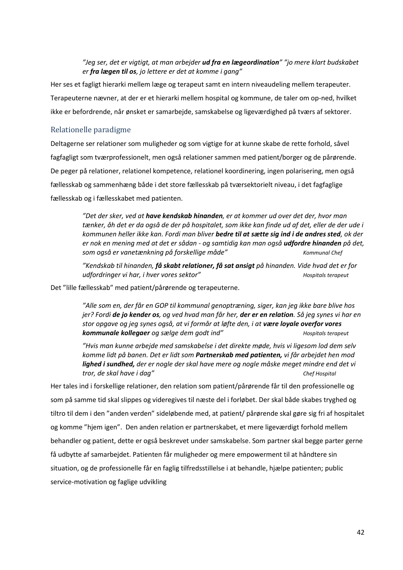#### *"Jeg ser, det er vigtigt, at man arbejder ud fra en lægeordination" "jo mere klart budskabet er fra lægen til os, jo lettere er det at komme i gang"*

Her ses et fagligt hierarki mellem læge og terapeut samt en intern niveaudeling mellem terapeuter. Terapeuterne nævner, at der er et hierarki mellem hospital og kommune, de taler om op-ned, hvilket ikke er befordrende, når ønsket er samarbejde, samskabelse og ligeværdighed på tværs af sektorer.

#### <span id="page-41-0"></span>Relationelle paradigme

Deltagerne ser relationer som muligheder og som vigtige for at kunne skabe de rette forhold, såvel fagfagligt som tværprofessionelt, men også relationer sammen med patient/borger og de pårørende. De peger på relationer, relationel kompetence, relationel koordinering, ingen polarisering, men også fællesskab og sammenhæng både i det store fællesskab på tværsektorielt niveau, i det fagfaglige fællesskab og i fællesskabet med patienten.

> *"Det der sker, ved at have kendskab hinanden, er at kommer ud over det der, hvor man tænker, åh det er da også de der på hospitalet, som ikke kan finde ud af det, eller de der ude i kommunen heller ikke kan. Fordi man bliver bedre til at sætte sig ind i de andres sted, ok der er nok en mening med at det er sådan - og samtidig kan man også udfordre hinanden på det, som også er vanetænkning på forskellige måde" Kommunal Chef*

*"Kendskab til hinanden, få skabt relationer, få sat ansigt på hinanden. Vide hvad det er for udfordringer vi har, i hver vores sektor" Hospitals terapeut*

Det "lille fællesskab" med patient/pårørende og terapeuterne.

*"Alle som en, der får en GOP til kommunal genoptræning, siger, kan jeg ikke bare blive hos jer? Fordi de jo kender os, og ved hvad man får her, der er en relation. Så jeg synes vi har en stor opgave og jeg synes også, at vi formår at løfte den, i at være loyale overfor vores kommunale kollegaer og sælge dem godt ind" Hospitals terapeut*

*"Hvis man kunne arbejde med samskabelse i det direkte møde, hvis vi ligesom lod dem selv komme lidt på banen. Det er lidt som Partnerskab med patienten, vi får arbejdet hen mod lighed i sundhed, der er nogle der skal have mere og nogle måske meget mindre end det vi tror, de skal have i dag" Chef Hospital*

Her tales ind i forskellige relationer, den relation som patient/pårørende får til den professionelle og som på samme tid skal slippes og videregives til næste del i forløbet. Der skal både skabes tryghed og tiltro til dem i den "anden verden" sideløbende med, at patient/ pårørende skal gøre sig fri af hospitalet og komme "hjem igen". Den anden relation er partnerskabet, et mere ligeværdigt forhold mellem behandler og patient, dette er også beskrevet under samskabelse. Som partner skal begge parter gerne få udbytte af samarbejdet. Patienten får muligheder og mere empowerment til at håndtere sin situation, og de professionelle får en faglig tilfredsstillelse i at behandle, hjælpe patienten; public service-motivation og faglige udvikling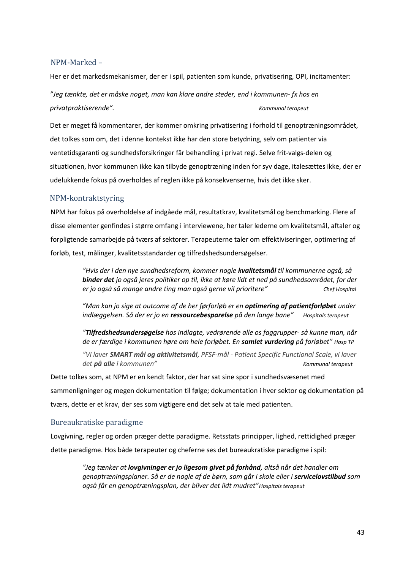#### <span id="page-42-0"></span>NPM-Marked –

Her er det markedsmekanismer, der er i spil, patienten som kunde, privatisering, OPI, incitamenter:

*"Jeg tænkte, det er måske noget, man kan klare andre steder, end i kommunen- fx hos en privatpraktiserende". Kommunal terapeut*

Det er meget få kommentarer, der kommer omkring privatisering i forhold til genoptræningsområdet, det tolkes som om, det i denne kontekst ikke har den store betydning, selv om patienter via ventetidsgaranti og sundhedsforsikringer får behandling i privat regi. Selve frit-valgs-delen og situationen, hvor kommunen ikke kan tilbyde genoptræning inden for syv dage, italesættes ikke, der er udelukkende fokus på overholdes af reglen ikke på konsekvenserne, hvis det ikke sker.

#### <span id="page-42-1"></span>NPM-kontraktstyring

NPM har fokus på overholdelse af indgåede mål, resultatkrav, kvalitetsmål og benchmarking. Flere af disse elementer genfindes i større omfang i interviewene, her taler lederne om kvalitetsmål, aftaler og forpligtende samarbejde på tværs af sektorer. Terapeuterne taler om effektiviseringer, optimering af forløb, test, målinger, kvalitetsstandarder og tilfredshedsundersøgelser.

> *"Hvis der i den nye sundhedsreform, kommer nogle kvalitetsmål til kommunerne også, så binder det jo også jeres politiker op til, ikke at køre lidt et ned på sundhedsområdet, for der er jo også så mange andre ting man også gerne vil prioritere" Chef Hospital*

> *"Man kan jo sige at outcome af de her førforløb er en optimering af patientforløbet under indlæggelsen. Så der er jo en ressourcebesparelse på den lange bane" Hospitals terapeut*

> *"Tilfredshedsundersøgelse hos indlagte, vedrørende alle os faggrupper- så kunne man, når de er færdige i kommunen høre om hele forløbet. En samlet vurdering på forløbet" Hosp TP*

> *"Vi laver SMART mål og aktivitetsmål, PFSF-mål - Patient Specific Functional Scale, vi laver det på alle i kommunen" Kommunal terapeut*

Dette tolkes som, at NPM er en kendt faktor, der har sat sine spor i sundhedsvæsenet med sammenligninger og megen dokumentation til følge; dokumentation i hver sektor og dokumentation på tværs, dette er et krav, der ses som vigtigere end det selv at tale med patienten.

#### <span id="page-42-2"></span>Bureaukratiske paradigme

Lovgivning, regler og orden præger dette paradigme. Retsstats principper, lighed, rettidighed præger dette paradigme. Hos både terapeuter og cheferne ses det bureaukratiske paradigme i spil:

> *"Jeg tænker at lovgivninger er jo ligesom givet på forhånd, altså når det handler om genoptræningsplaner. Så er de nogle af de børn, som går i skole eller i servicelovstilbud som også får en genoptræningsplan, der bliver det lidt mudret"Hospitals terapeut*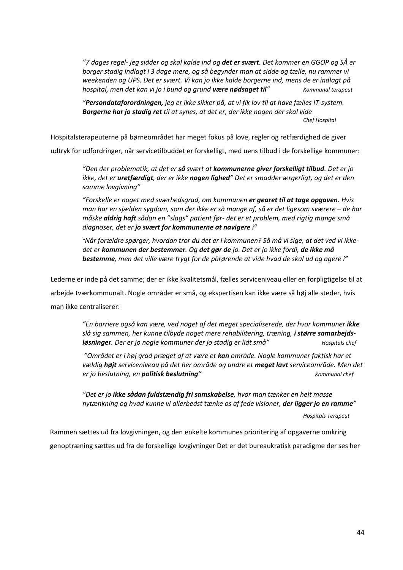*"7 dages regel- jeg sidder og skal kalde ind og det er svært. Det kommer en GGOP og SÅ er borger stadig indlagt i 3 dage mere, og så begynder man at sidde og tælle, nu rammer vi weekenden og UPS. Det er svært. Vi kan jo ikke kalde borgerne ind, mens de er indlagt på hospital, men det kan vi jo i bund og grund være nødsaget til" Kommunal terapeut*

*"Persondataforordningen, jeg er ikke sikker på, at vi fik lov til at have fælles IT-system. Borgerne har jo stadig ret til at synes, at det er, der ikke nogen der skal vide Chef Hospital*

Hospitalsterapeuterne på børneområdet har meget fokus på love, regler og retfærdighed de giver

udtryk for udfordringer, når servicetilbuddet er forskelligt, med uens tilbud i de forskellige kommuner:

*"Den der problematik, at det er så svært at kommunerne giver forskelligt tilbud. Det er jo ikke, det er uretfærdigt, der er ikke nogen lighed" Det er smadder ærgerligt, og det er den samme lovgivning"*

*"Forskelle er noget med sværhedsgrad, om kommunen er gearet til at tage opgaven. Hvis man har en sjælden sygdom, som der ikke er så mange af, så er det ligesom sværere – de har måske aldrig haft sådan en "slags" patient før- det er et problem, med rigtig mange små diagnoser, det er jo svært for kommunerne at navigere i"*

*"Når forældre spørger, hvordan tror du det er i kommunen? Så må vi sige, at det ved vi ikkedet er kommunen der bestemmer. Og det gør de jo. Det er jo ikke fordi, de ikke må bestemme, men det ville være trygt for de pårørende at vide hvad de skal ud og agere i"*

Lederne er inde på det samme; der er ikke kvalitetsmål, fælles serviceniveau eller en forpligtigelse til at arbejde tværkommunalt. Nogle områder er små, og ekspertisen kan ikke være så høj alle steder, hvis man ikke centraliserer:

> *"En barriere også kan være, ved noget af det meget specialiserede, der hvor kommuner ikke slå sig sammen, her kunne tilbyde noget mere rehabilitering, træning, i større samarbejdsløsninger. Der er jo nogle kommuner der jo stadig er lidt små" Hospitals chef*

*"Området er i høj grad præget af at være et kan område. Nogle kommuner faktisk har et vældig højt serviceniveau på det her område og andre et meget lavt serviceområde. Men det er jo beslutning, en politisk beslutning" Kommunal chef*

*"Det er jo ikke sådan fuldstændig fri samskabelse, hvor man tænker en helt masse nytænkning og hvad kunne vi allerbedst tænke os af fede visioner, der ligger jo en ramme"*

*Hospitals Terapeut*

Rammen sættes ud fra lovgivningen, og den enkelte kommunes prioritering af opgaverne omkring genoptræning sættes ud fra de forskellige lovgivninger Det er det bureaukratisk paradigme der ses her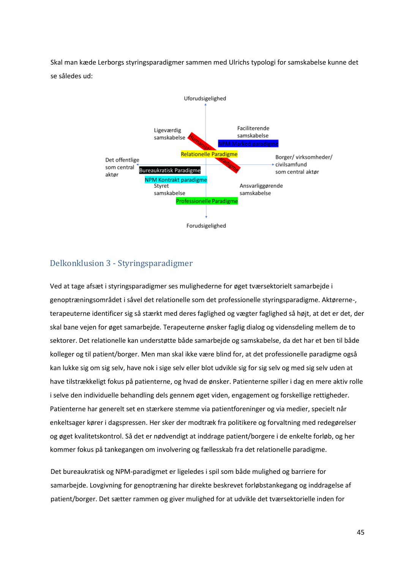Skal man kæde Lerborgs styringsparadigmer sammen med Ulrichs typologi for samskabelse kunne det se således ud:



#### <span id="page-44-0"></span>Delkonklusion 3 - Styringsparadigmer

Ved at tage afsæt i styringsparadigmer ses mulighederne for øget tværsektorielt samarbejde i genoptræningsområdet i såvel det relationelle som det professionelle styringsparadigme. Aktørerne-, terapeuterne identificer sig så stærkt med deres faglighed og vægter faglighed så højt, at det er det, der skal bane vejen for øget samarbejde. Terapeuterne ønsker faglig dialog og vidensdeling mellem de to sektorer. Det relationelle kan understøtte både samarbejde og samskabelse, da det har et ben til både kolleger og til patient/borger. Men man skal ikke være blind for, at det professionelle paradigme også kan lukke sig om sig selv, have nok i sige selv eller blot udvikle sig for sig selv og med sig selv uden at have tilstrækkeligt fokus på patienterne, og hvad de ønsker. Patienterne spiller i dag en mere aktiv rolle i selve den individuelle behandling dels gennem øget viden, engagement og forskellige rettigheder. Patienterne har generelt set en stærkere stemme via patientforeninger og via medier, specielt når enkeltsager kører i dagspressen. Her sker der modtræk fra politikere og forvaltning med redegørelser og øget kvalitetskontrol. Så det er nødvendigt at inddrage patient/borgere i de enkelte forløb, og her kommer fokus på tankegangen om involvering og fællesskab fra det relationelle paradigme.

Det bureaukratisk og NPM-paradigmet er ligeledes i spil som både mulighed og barriere for samarbejde. Lovgivning for genoptræning har direkte beskrevet forløbstankegang og inddragelse af patient/borger. Det sætter rammen og giver mulighed for at udvikle det tværsektorielle inden for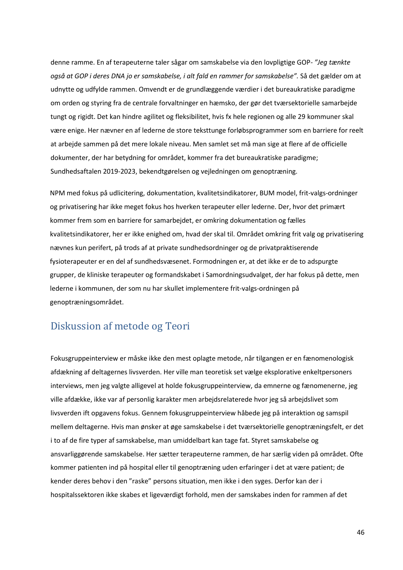denne ramme. En af terapeuterne taler sågar om samskabelse via den lovpligtige GOP*- "Jeg tænkte også at GOP i deres DNA jo er samskabelse, i alt fald en rammer for samskabelse".* Så det gælder om at udnytte og udfylde rammen. Omvendt er de grundlæggende værdier i det bureaukratiske paradigme om orden og styring fra de centrale forvaltninger en hæmsko, der gør det tværsektorielle samarbejde tungt og rigidt. Det kan hindre agilitet og fleksibilitet, hvis fx hele regionen og alle 29 kommuner skal være enige. Her nævner en af lederne de store teksttunge forløbsprogrammer som en barriere for reelt at arbejde sammen på det mere lokale niveau. Men samlet set må man sige at flere af de officielle dokumenter, der har betydning for området, kommer fra det bureaukratiske paradigme; Sundhedsaftalen 2019-2023, bekendtgørelsen og vejledningen om genoptræning.

NPM med fokus på udlicitering, dokumentation, kvalitetsindikatorer, BUM model, frit-valgs-ordninger og privatisering har ikke meget fokus hos hverken terapeuter eller lederne. Der, hvor det primært kommer frem som en barriere for samarbejdet, er omkring dokumentation og fælles kvalitetsindikatorer, her er ikke enighed om, hvad der skal til. Området omkring frit valg og privatisering nævnes kun perifert, på trods af at private sundhedsordninger og de privatpraktiserende fysioterapeuter er en del af sundhedsvæsenet. Formodningen er, at det ikke er de to adspurgte grupper, de kliniske terapeuter og formandskabet i Samordningsudvalget, der har fokus på dette, men lederne i kommunen, der som nu har skullet implementere frit-valgs-ordningen på genoptræningsområdet.

# <span id="page-45-0"></span>Diskussion af metode og Teori

Fokusgruppeinterview er måske ikke den mest oplagte metode, når tilgangen er en fænomenologisk afdækning af deltagernes livsverden. Her ville man teoretisk set vælge eksplorative enkeltpersoners interviews, men jeg valgte alligevel at holde fokusgruppeinterview, da emnerne og fænomenerne, jeg ville afdække, ikke var af personlig karakter men arbejdsrelaterede hvor jeg så arbejdslivet som livsverden ift opgavens fokus. Gennem fokusgruppeinterview håbede jeg på interaktion og samspil mellem deltagerne. Hvis man ønsker at øge samskabelse i det tværsektorielle genoptræningsfelt, er det i to af de fire typer af samskabelse, man umiddelbart kan tage fat. Styret samskabelse og ansvarliggørende samskabelse. Her sætter terapeuterne rammen, de har særlig viden på området. Ofte kommer patienten ind på hospital eller til genoptræning uden erfaringer i det at være patient; de kender deres behov i den "raske" persons situation, men ikke i den syges. Derfor kan der i hospitalssektoren ikke skabes et ligeværdigt forhold, men der samskabes inden for rammen af det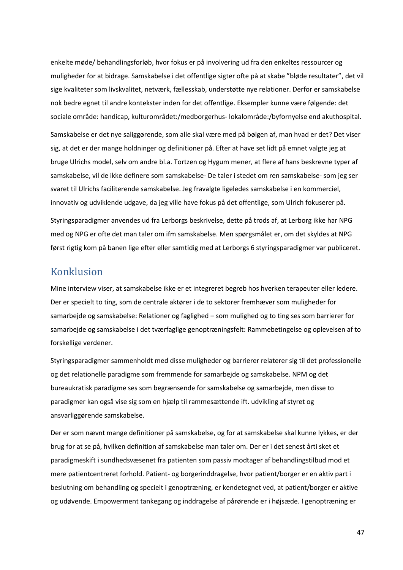enkelte møde/ behandlingsforløb, hvor fokus er på involvering ud fra den enkeltes ressourcer og muligheder for at bidrage. Samskabelse i det offentlige sigter ofte på at skabe "bløde resultater", det vil sige kvaliteter som livskvalitet, netværk, fællesskab, understøtte nye relationer. Derfor er samskabelse nok bedre egnet til andre kontekster inden for det offentlige. Eksempler kunne være følgende: det sociale område: handicap, kulturområdet:/medborgerhus- lokalområde:/byfornyelse end akuthospital.

Samskabelse er det nye saliggørende, som alle skal være med på bølgen af, man hvad er det? Det viser sig, at det er der mange holdninger og definitioner på. Efter at have set lidt på emnet valgte jeg at bruge Ulrichs model, selv om andre bl.a. Tortzen og Hygum mener, at flere af hans beskrevne typer af samskabelse, vil de ikke definere som samskabelse- De taler i stedet om ren samskabelse- som jeg ser svaret til Ulrichs faciliterende samskabelse. Jeg fravalgte ligeledes samskabelse i en kommerciel, innovativ og udviklende udgave, da jeg ville have fokus på det offentlige, som Ulrich fokuserer på.

Styringsparadigmer anvendes ud fra Lerborgs beskrivelse, dette på trods af, at Lerborg ikke har NPG med og NPG er ofte det man taler om ifm samskabelse. Men spørgsmålet er, om det skyldes at NPG først rigtig kom på banen lige efter eller samtidig med at Lerborgs 6 styringsparadigmer var publiceret.

## <span id="page-46-0"></span>Konklusion

Mine interview viser, at samskabelse ikke er et integreret begreb hos hverken terapeuter eller ledere. Der er specielt to ting, som de centrale aktører i de to sektorer fremhæver som muligheder for samarbejde og samskabelse: Relationer og faglighed – som mulighed og to ting ses som barrierer for samarbejde og samskabelse i det tværfaglige genoptræningsfelt: Rammebetingelse og oplevelsen af to forskellige verdener.

Styringsparadigmer sammenholdt med disse muligheder og barrierer relaterer sig til det professionelle og det relationelle paradigme som fremmende for samarbejde og samskabelse. NPM og det bureaukratisk paradigme ses som begrænsende for samskabelse og samarbejde, men disse to paradigmer kan også vise sig som en hjælp til rammesættende ift. udvikling af styret og ansvarliggørende samskabelse.

Der er som nævnt mange definitioner på samskabelse, og for at samskabelse skal kunne lykkes, er der brug for at se på, hvilken definition af samskabelse man taler om. Der er i det senest årti sket et paradigmeskift i sundhedsvæsenet fra patienten som passiv modtager af behandlingstilbud mod et mere patientcentreret forhold. Patient- og borgerinddragelse, hvor patient/borger er en aktiv part i beslutning om behandling og specielt i genoptræning, er kendetegnet ved, at patient/borger er aktive og udøvende. Empowerment tankegang og inddragelse af pårørende er i højsæde. I genoptræning er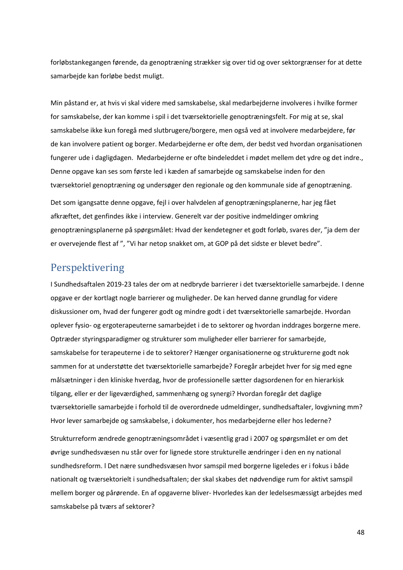forløbstankegangen førende, da genoptræning strækker sig over tid og over sektorgrænser for at dette samarbejde kan forløbe bedst muligt.

Min påstand er, at hvis vi skal videre med samskabelse, skal medarbejderne involveres i hvilke former for samskabelse, der kan komme i spil i det tværsektorielle genoptræningsfelt. For mig at se, skal samskabelse ikke kun foregå med slutbrugere/borgere, men også ved at involvere medarbejdere, før de kan involvere patient og borger. Medarbejderne er ofte dem, der bedst ved hvordan organisationen fungerer ude i dagligdagen. Medarbejderne er ofte bindeleddet i mødet mellem det ydre og det indre., Denne opgave kan ses som første led i kæden af samarbejde og samskabelse inden for den tværsektoriel genoptræning og undersøger den regionale og den kommunale side af genoptræning.

Det som igangsatte denne opgave, fejl i over halvdelen af genoptræningsplanerne, har jeg fået afkræftet, det genfindes ikke i interview. Generelt var der positive indmeldinger omkring genoptræningsplanerne på spørgsmålet: Hvad der kendetegner et godt forløb, svares der, "ja dem der er overvejende flest af ", "Vi har netop snakket om, at GOP på det sidste er blevet bedre".

# <span id="page-47-0"></span>Perspektivering

I Sundhedsaftalen 2019-23 tales der om at nedbryde barrierer i det tværsektorielle samarbejde. I denne opgave er der kortlagt nogle barrierer og muligheder. De kan herved danne grundlag for videre diskussioner om, hvad der fungerer godt og mindre godt i det tværsektorielle samarbejde. Hvordan oplever fysio- og ergoterapeuterne samarbejdet i de to sektorer og hvordan inddrages borgerne mere. Optræder styringsparadigmer og strukturer som muligheder eller barrierer for samarbejde, samskabelse for terapeuterne i de to sektorer? Hænger organisationerne og strukturerne godt nok sammen for at understøtte det tværsektorielle samarbejde? Foregår arbejdet hver for sig med egne målsætninger i den kliniske hverdag, hvor de professionelle sætter dagsordenen for en hierarkisk tilgang, eller er der ligeværdighed, sammenhæng og synergi? Hvordan foregår det daglige tværsektorielle samarbejde i forhold til de overordnede udmeldinger, sundhedsaftaler, lovgivning mm? Hvor lever samarbejde og samskabelse, i dokumenter, hos medarbejderne eller hos lederne?

Strukturreform ændrede genoptræningsområdet i væsentlig grad i 2007 og spørgsmålet er om det øvrige sundhedsvæsen nu står over for lignede store strukturelle ændringer i den en ny national sundhedsreform. l Det nære sundhedsvæsen hvor samspil med borgerne ligeledes er i fokus i både nationalt og tværsektorielt i sundhedsaftalen; der skal skabes det nødvendige rum for aktivt samspil mellem borger og pårørende. En af opgaverne bliver- Hvorledes kan der ledelsesmæssigt arbejdes med samskabelse på tværs af sektorer?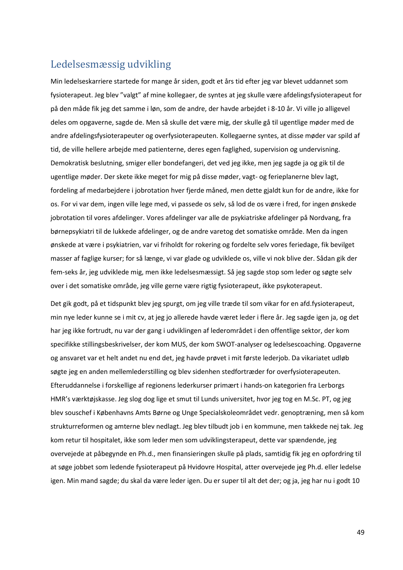# <span id="page-48-0"></span>Ledelsesmæssig udvikling

Min ledelseskarriere startede for mange år siden, godt et års tid efter jeg var blevet uddannet som fysioterapeut. Jeg blev "valgt" af mine kollegaer, de syntes at jeg skulle være afdelingsfysioterapeut for på den måde fik jeg det samme i løn, som de andre, der havde arbejdet i 8-10 år. Vi ville jo alligevel deles om opgaverne, sagde de. Men så skulle det være mig, der skulle gå til ugentlige møder med de andre afdelingsfysioterapeuter og overfysioterapeuten. Kollegaerne syntes, at disse møder var spild af tid, de ville hellere arbejde med patienterne, deres egen faglighed, supervision og undervisning. Demokratisk beslutning, smiger eller bondefangeri, det ved jeg ikke, men jeg sagde ja og gik til de ugentlige møder. Der skete ikke meget for mig på disse møder, vagt- og ferieplanerne blev lagt, fordeling af medarbejdere i jobrotation hver fjerde måned, men dette gjaldt kun for de andre, ikke for os. For vi var dem, ingen ville lege med, vi passede os selv, så lod de os være i fred, for ingen ønskede jobrotation til vores afdelinger. Vores afdelinger var alle de psykiatriske afdelinger på Nordvang, fra børnepsykiatri til de lukkede afdelinger, og de andre varetog det somatiske område. Men da ingen ønskede at være i psykiatrien, var vi friholdt for rokering og fordelte selv vores feriedage, fik bevilget masser af faglige kurser; for så længe, vi var glade og udviklede os, ville vi nok blive der. Sådan gik der fem-seks år, jeg udviklede mig, men ikke ledelsesmæssigt. Så jeg sagde stop som leder og søgte selv over i det somatiske område, jeg ville gerne være rigtig fysioterapeut, ikke psykoterapeut.

Det gik godt, på et tidspunkt blev jeg spurgt, om jeg ville træde til som vikar for en afd.fysioterapeut, min nye leder kunne se i mit cv, at jeg jo allerede havde været leder i flere år. Jeg sagde igen ja, og det har jeg ikke fortrudt, nu var der gang i udviklingen af lederområdet i den offentlige sektor, der kom specifikke stillingsbeskrivelser, der kom MUS, der kom SWOT-analyser og ledelsescoaching. Opgaverne og ansvaret var et helt andet nu end det, jeg havde prøvet i mit første lederjob. Da vikariatet udløb søgte jeg en anden mellemlederstilling og blev sidenhen stedfortræder for overfysioterapeuten. Efteruddannelse i forskellige af regionens lederkurser primært i hands-on kategorien fra Lerborgs HMR's værktøjskasse. Jeg slog dog lige et smut til Lunds universitet, hvor jeg tog en M.Sc. PT, og jeg blev souschef i Københavns Amts Børne og Unge Specialskoleområdet vedr. genoptræning, men så kom strukturreformen og amterne blev nedlagt. Jeg blev tilbudt job i en kommune, men takkede nej tak. Jeg kom retur til hospitalet, ikke som leder men som udviklingsterapeut, dette var spændende, jeg overvejede at påbegynde en Ph.d., men finansieringen skulle på plads, samtidig fik jeg en opfordring til at søge jobbet som ledende fysioterapeut på Hvidovre Hospital, atter overvejede jeg Ph.d. eller ledelse igen. Min mand sagde; du skal da være leder igen. Du er super til alt det der; og ja, jeg har nu i godt 10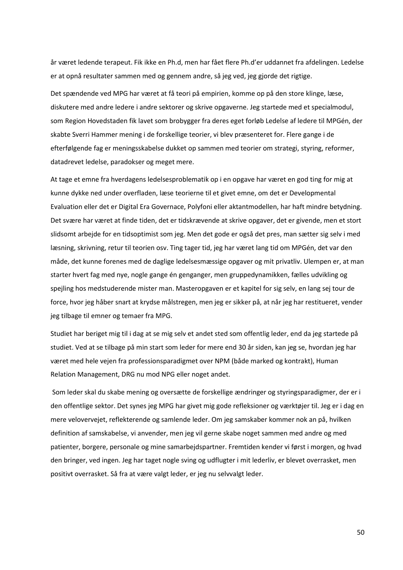år været ledende terapeut. Fik ikke en Ph.d, men har fået flere Ph.d'er uddannet fra afdelingen. Ledelse er at opnå resultater sammen med og gennem andre, så jeg ved, jeg gjorde det rigtige.

Det spændende ved MPG har været at få teori på empirien, komme op på den store klinge, læse, diskutere med andre ledere i andre sektorer og skrive opgaverne. Jeg startede med et specialmodul, som Region Hovedstaden fik lavet som brobygger fra deres eget forløb Ledelse af ledere til MPGén, der skabte Sverri Hammer mening i de forskellige teorier, vi blev præsenteret for. Flere gange i de efterfølgende fag er meningsskabelse dukket op sammen med teorier om strategi, styring, reformer, datadrevet ledelse, paradokser og meget mere.

At tage et emne fra hverdagens ledelsesproblematik op i en opgave har været en god ting for mig at kunne dykke ned under overfladen, læse teorierne til et givet emne, om det er Developmental Evaluation eller det er Digital Era Governace, Polyfoni eller aktantmodellen, har haft mindre betydning. Det svære har været at finde tiden, det er tidskrævende at skrive opgaver, det er givende, men et stort slidsomt arbejde for en tidsoptimist som jeg. Men det gode er også det pres, man sætter sig selv i med læsning, skrivning, retur til teorien osv. Ting tager tid, jeg har været lang tid om MPGén, det var den måde, det kunne forenes med de daglige ledelsesmæssige opgaver og mit privatliv. Ulempen er, at man starter hvert fag med nye, nogle gange én genganger, men gruppedynamikken, fælles udvikling og spejling hos medstuderende mister man. Masteropgaven er et kapitel for sig selv, en lang sej tour de force, hvor jeg håber snart at krydse målstregen, men jeg er sikker på, at når jeg har restitueret, vender jeg tilbage til emner og temaer fra MPG.

Studiet har beriget mig til i dag at se mig selv et andet sted som offentlig leder, end da jeg startede på studiet. Ved at se tilbage på min start som leder for mere end 30 år siden, kan jeg se, hvordan jeg har været med hele vejen fra professionsparadigmet over NPM (både marked og kontrakt), Human Relation Management, DRG nu mod NPG eller noget andet.

Som leder skal du skabe mening og oversætte de forskellige ændringer og styringsparadigmer, der er i den offentlige sektor. Det synes jeg MPG har givet mig gode refleksioner og værktøjer til. Jeg er i dag en mere velovervejet, reflekterende og samlende leder. Om jeg samskaber kommer nok an på, hvilken definition af samskabelse, vi anvender, men jeg vil gerne skabe noget sammen med andre og med patienter, borgere, personale og mine samarbejdspartner. Fremtiden kender vi først i morgen, og hvad den bringer, ved ingen. Jeg har taget nogle sving og udflugter i mit lederliv, er blevet overrasket, men positivt overrasket. Så fra at være valgt leder, er jeg nu selvvalgt leder.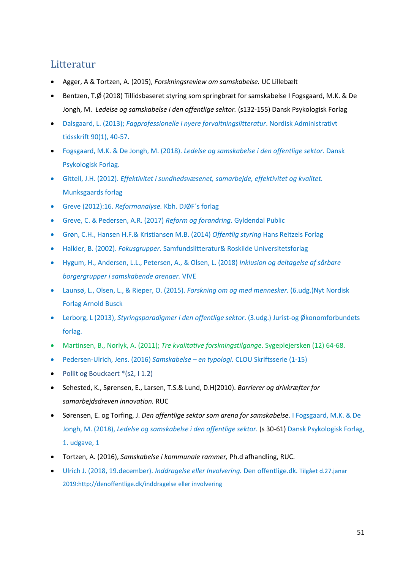# <span id="page-50-0"></span>Litteratur

- Agger, A & Tortzen, A. (2015), *Forskningsreview om samskabelse.* UC Lillebælt
- Bentzen, T.Ø (2018) Tillidsbaseret styring som springbræt for samskabelse I Fogsgaard, M.K. & De Jongh, M. *Ledelse og samskabelse i den offentlige sektor.* (s132-155) Dansk Psykologisk Forlag
- Dalsgaard, L. (2013); *Fagprofessionelle i nyere forvaltningslitteratur*. Nordisk Administrativt tidsskrift 90(1), 40-57.
- Fogsgaard, M.K. & De Jongh, M. (2018). *Ledelse og samskabelse i den offentlige sektor.* Dansk Psykologisk Forlag.
- Gittell, J.H. (2012). *Effektivitet i sundhedsvæsenet, samarbejde, effektivitet og kvalitet.* Munksgaards forlag
- Greve (2012):16. *Reformanalyse.* Kbh. DJØF´s forlag
- Greve, C. & Pedersen, A.R. (2017) *Reform og forandring.* Gyldendal Public
- Grøn, C.H., Hansen H.F.& Kristiansen M.B. (2014) *Offentlig styring* Hans Reitzels Forlag
- Halkier, B. (2002). *Fokusgrupper.* Samfundslitteratur& Roskilde Universitetsforlag
- Hygum, H., Andersen, L.L., Petersen, A., & Olsen, L. (2018) *Inklusion og deltagelse af sårbare borgergrupper i samskabende arenaer.* VIVE
- Launsø, L., Olsen, L., & Rieper, O. (2015). *Forskning om og med mennesker.* (6.udg.)Nyt Nordisk Forlag Arnold Busck
- Lerborg, L (2013), *Styringsparadigmer i den offentlige sektor*. (3.udg.) Jurist-og Økonomforbundets forlag.
- Martinsen, B., Norlyk, A. (2011); *Tre kvalitative forskningstilgange*. Sygeplejersken (12) 64-68.
- Pedersen-Ulrich, Jens. (2016) *Samskabelse – en typologi.* CLOU Skriftsserie (1-15)
- Pollit og Bouckaert \*(s2, I 1.2)
- Sehested, K., Sørensen, E., Larsen, T.S.& Lund, D.H(2010). *Barrierer og drivkræfter for samarbejdsdreven innovation.* RUC
- Sørensen, E. og Torfing, J. *Den offentlige sektor som arena for samskabelse*. I Fogsgaard, M.K. & De Jongh, M. (2018), *Ledelse og samskabelse i den offentlige sektor.* (s 30-61) Dansk Psykologisk Forlag, 1. udgave, 1
- Tortzen, A. (2016), *Samskabelse i kommunale rammer,* Ph.d afhandling, RUC.
- Ulrich J. (2018, 19.december). *Inddragelse eller Involvering.* Den offentlige.dk. Tilgået d.27.janar 2019:http://denoffentlige.dk/inddragelse eller involvering